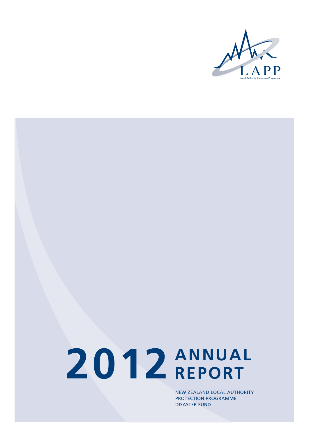

# **2012 ANNUAL REPORT**

New Zealand Local Authority Protection Programme Disaster Fund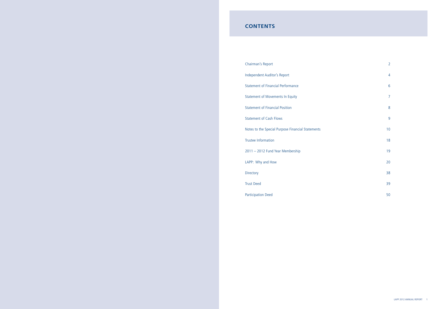# **CONTENTS**

Chairman's Report 2012

Independent Auditor's Report 4

Statement of Financial Performance 6 and 30 km statement of Financial Performance

Statement of Movements In Equity 7 and 2008 and 2009 and 2008 and 2009 and 2008 and 2009 and 2009 and 2009 and 2009  $\sigma$ 

Statement of Financial Position 8

Statement of Cash Flows 9

Notes to the Special Purpose Financial Statements 10

Trustee Information 18

2011 – 2012 Fund Year Membership 19

LAPP: Why and How 20

Directory 38

Trust Deed 39

Participation Deed 50

- 
- 
- 
- 
- 
- 
- 
- 
- 
- 
-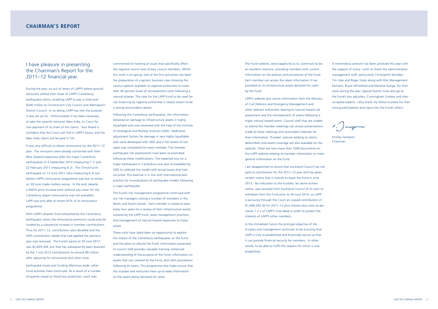The Fund website, www.lappfund.co.nz, continues to be an excellent resource, providing members with current information on the policies and procedures of the Fund. Each member can access the latest information it has provided on its infrastructure assets declared for cover by the Fund.

LAPP's website also carries information from the Ministry of Civil Defence and Emergency Management and other relevant authorities relating to natural hazard risk assessment and the reinstatement of assets following a major natural hazard event. Council staff that are unable to attend the member meetings can access presentations made at these meetings and associated materials for their information. Trustees' policies relating to claims, deductibles and assets coverage are also available on the website. There are now more than 1000 documents on the LAPP website relating to member information or more general information on the Fund.

I am disappointed to record that Auckland Council has not paid its contribution for the 2011–12 year and has given written notice that it intends to leave the Fund in June 2013. No indication to the trustees, let alone written notice, was received from Auckland Council of its wish to withdraw from the Fund prior to 30 June 2010, so LAPP is pursuing through the Court an unpaid contribution of \$1,068,283.30 for 2011–12 plus interest plus costs as per clause 7.2.2 of LAPP's trust deed in order to protect the interests of LAPP's other members.

In the immediate future the principal objective of the trustees and management continues to be ensuring that LAPP is fully re-established and financially secure so that it can provide financial security for members. In other words, to be able to fulfill the reasons for which it was established.

A tremendous amount has been achieved this year with the support of many. I wish to thank the administration management staff, particularly Christopher Munden, Tim Sole and Roger Gyles along with Risk Management Partners, Bryan Whitefield and Marlene Kanga, for their work during the year. Special thanks must also go to the Fund's loss adjusters, Cunningham Lindsey and their co-opted experts. I also thank my fellow trustees for their strong participation and input into the Fund's affairs.

t () original

Kinsley Sampson Chairman

During the year, six out of seven of LAPP's below-ground reinsurers settled their share of LAPP's Canterbury earthquake claims, enabling LAPP to pay in total over \$200 million to Christchurch City Council and Waimakariri District Council. In so doing, LAPP has met the purpose it was set up for. Unfortunately it has been necessary to take the seventh reinsurer, New India, to Court for non-payment of its share of the claims. Your Board is confident that the Court will find in LAPP's favour and the New India claims will be paid in full.

It was very difficult to obtain reinsurance for the 2011–12 year. The reinsurers were already concerned with their New Zealand exposures after the major Canterbury earthquakes of 4 September 2010 (measuring 7.1) and 22 February 2011 (measuring 6.3). The Christchurch earthquake on 13 June 2011 (also measuring 6.3) just before LAPP's reinsurance programme was due to renew on 30 June made matters worse. In the end, despite a 400% price increase even without any cover for the Canterbury region (reinsurance was not available), LAPP was only able to renew 92% of its reinsurance programme.

With LAPP's disaster fund exhausted by the Canterbury earthquake claims the reinsurance premiums could only be funded by a substantial increase in member contributions. Thus for 2011–12, contribution rates doubled and the 50% contribution rebate that had applied the previous year was removed. The Fund's equity at 30 June 2012 was \$2,629,304, but that has subsequently been boosted by the 1 July 2012 contributions to around \$8 million after adjusting for reinsurance and other costs.

Earthquake issues and funding dilemmas aside, other Fund activities have continued. As a result of a number of queries raised on flood loss protection, work was

commenced on looking at issues that specifically affect the regional council and unitary council members. Whilst this work is on-going, one of the first outcomes has been the preparation of a generic business case showing the various options available to regional authorities to cover their 40 percent share of reinstatement costs following a natural disaster. The case for the LAPP Fund to be used for risk financing by regional authorities is clearly shown to be a strong and prudent option.

Following the Canterbury earthquakes, the information obtained on damage to infrastructure assets in highly liquefiable soils was reviewed with the help of the Institute of Geological and Nuclear Sciences (GNS). Additional adjustment factors for damage in very highly liquefiable soils were developed with GNS and a full review of soil types was completed for every member. The member earthquake risk assessments have been re-estimated following these modifications. The expected loss for a major earthquake in Canterbury was also re-modelled by GNS to calibrate the model with actual losses that had occurred. This exercise is in line with international best practice for re-evaluations of earthquake models following a major earthquake.

The Fund's risk management programme continued with our risk managers visiting a number of members in the North and South Islands. Each member is visited at least every four years for a review of their infrastructure assets covered by the LAPP Fund, asset management practices, and management of natural hazard exposures to these assets.

These visits have lately been an opportunity to explain the impact of the Canterbury earthquakes on the Fund and the plans to rebuild the Fund. Information presented to council staff provides valuable training, enhanced understanding of the purpose of the Fund, information on assets that can covered by the Fund, and claim procedures following an event. This programme also helps ensure that the trustees and reinsurers have up-to-date information on the assets being declared for cover.

# I have pleasure in presenting the Chairman's Report for the 2011–12 financial year.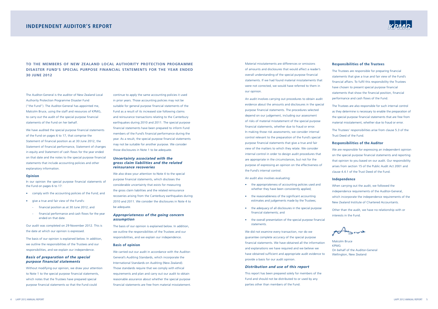Material misstatements are differences or omissions of amounts and disclosures that would affect a reader's overall understanding of the special purpose financial statements. If we had found material misstatements that were not corrected, we would have referred to them in our opinion.

An audit involves carrying out procedures to obtain audit evidence about the amounts and disclosures in the special purpose financial statements. The procedures selected depend on our judgement, including our assessment of risks of material misstatement of the special purpose financial statements, whether due to fraud or error. In making those risk assessments; we consider internal control relevant to the preparation of the Fund's special purpose financial statements that give a true and fair view of the matters to which they relate. We consider internal control in order to design audit procedures that are appropriate in the circumstances, but not for the purpose of expressing an opinion on the effectiveness of the Fund's internal control.

An audit also involves evaluating:

- the appropriateness of accounting policies used and whether they have been consistently applied;
- the reasonableness of the significant accounting estimates and judgements made by the Trustees;
- the adequacy of all disclosures in the special purpose financial statements; and
- the overall presentation of the special purpose financial statements.

We did not examine every transaction, nor do we guarantee complete accuracy of the special purpose financial statements. We have obtained all the information and explanations we have required and we believe we have obtained sufficient and appropriate audit evidence to provide a basis for our audit opinion.

### *Distribution and use of this report*

This report has been prepared solely for members of the Fund and should not be distributed to or used by any parties other than members of the Fund.



### **Responsibilities of the Trustees**

The Trustees are responsible for preparing financial statements that give a true and fair view of the Fund's financial affairs. To fulfil this responsibility the Trustees have chosen to present special purpose financial statements that show the financial position, financial performance and cash flows of the Fund.

The Trustees are also responsible for such internal control as they determine is necessary to enable the preparation of the special purpose financial statements that are free from material misstatement, whether due to fraud or error.

The Trustees' responsibilities arise from clause 5.3 of the Trust Deed of the Fund.

### **Responsibilities of the Auditor**

We are responsible for expressing an independent opinion on the special purpose financial statements and reporting that opinion to you based on our audit. Our responsibility arises from section 15 of the Public Audit Act 2001 and clause 4.4.1 of the Trust Deed of the Fund.

### **Independence**

When carrying out the audit, we followed the independence requirements of the Auditor-General, which incorporate the independence requirements of the New Zealand Institute of Chartered Accountants.

Other than the audit, we have no relationship with or interests in the Fund.

Ausius

Malcolm Bruce **KPMG** On behalf of the Auditor-General Wellington, New Zealand

The Auditor-General is the auditor of New Zealand Local Authority Protection Programme Disaster Fund ("the Fund"). The Auditor-General has appointed me, Malcolm Bruce, using the staff and resources of KPMG, to carry out the audit of the special purpose financial statements of the Fund on her behalf.

We have audited the special purpose financial statements of the Fund on pages 6 to 17, that comprise the Statement of financial position as at 30 June 2012, the Statement of financial performance, Statement of changes in equity and Statement of cash flows for the year ended on that date and the notes to the special purpose financial statements that include accounting policies and other explanatory information.

### **Opinion**

In our opinion the special purpose financial statements of the Fund on pages 6 to 17:

- comply with the accounting policies of the Fund; and
- give a true and fair view of the Fund's:
	- financial position as at 30 June 2012; and
	- financial performance and cash flows for the year ended on that date.

Our audit was completed on 29 November 2012. This is the date at which our opinion is expressed.

The basis of our opinion is explained below. In addition, we outline the responsibilities of the Trustees and our responsibilities, and we explain our independence.

### *Basis of preparation of the special purpose financial statements*

Without modifying our opinion, we draw your attention to Note 1 to the special purpose financial statements, which notes that the Trustees have prepared special purpose financial statements so that the Fund could

# **independent auditor's report**

continue to apply the same accounting policies it used in prior years. Those accounting policies may not be suitable for general purpose financial statements of the Fund as a result of its increased size following claims and reinsurance transactions relating to the Canterbury earthquakes during 2010 and 2011. The special purpose financial statements have been prepared to inform Fund members of the Fund's financial performance during the year. As a result, the special purpose financial statements may not be suitable for another purpose. We consider those disclosures in Note 1 to be adequate.

### *Uncertainty associated with the gross claim liabilities and the related reinsurance recoveries*

We also draw your attention to Note 4 to the special purpose financial statements, which discloses the considerable uncertainty that exists for measuring the gross claim liabilities and the related reinsurance recoveries arising from the Canterbury earthquakes during 2010 and 2011. We consider the disclosures in Note 4 to be adequate.

### *Appropriateness of the going concern assumption*

The basis of our opinion is explained below. In addition, we outline the responsibilities of the Trustees and our responsibilities, and we explain our independence.

### **Basis of opinion**

We carried out our audit in accordance with the Auditor-General's Auditing Standards, which incorporate the International Standards on Auditing (New Zealand). Those standards require that we comply with ethical requirements and plan and carry out our audit to obtain reasonable assurance about whether the special purpose financial statements are free from material misstatement.

**To the Members of New Zealand Local Authority Protection Programme Disaster FUND'S SPECIAL PURPOSE FINANCIAL STATEMENTS FOR THE YEAR ENDED 30 JUNE 2012**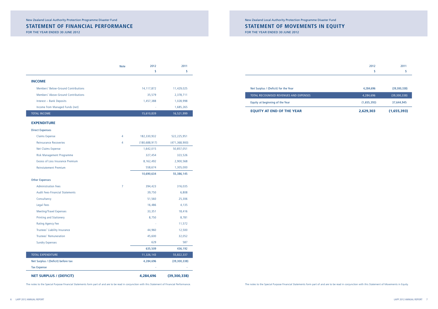

# **STATEMENT OF MOVEMENTS IN EQUITY**

For The Year Ended 30 June 2012

| 2012 | 2011 |
|------|------|
|      |      |
|      |      |

| 2,629,303   | (1,655,393)  |
|-------------|--------------|
| (1,655,393) | 37,644,945   |
| 4,284,696   | (39,300,338) |
| 4,284,696   | (39,300,338) |

The notes to the Special Purpose Financial Statements form part of and are to be read in conjunction with this Statement of Financial Performance.

# **STATEMENT OF FINANCIAL PERFORMANCE**

For The Year Ended 30 June 2012

|                                        | <b>Note</b>    | 2012            | 2011            |
|----------------------------------------|----------------|-----------------|-----------------|
|                                        |                | \$              | \$              |
| <b>INCOME</b>                          |                |                 |                 |
| Members' Below-Ground Contributions    |                | 14, 117, 872    | 11,429,025      |
| Members' Above-Ground Contributions    |                | 35,579          | 2,378,711       |
| Interest - Bank Deposits               |                | 1,457,388       | 1,028,998       |
| Income from Managed Funds (net)        |                |                 | 1,685,265       |
| <b>TOTAL INCOME</b>                    |                | 15,610,839      | 16,521,999      |
| <b>EXPENDITURE</b>                     |                |                 |                 |
| <b>Direct Expenses</b>                 |                |                 |                 |
| Claims Expense                         | 4              | 182,330,932     | 522,225,951     |
| <b>Reinsurance Recoveries</b>          | 4              | (180, 688, 917) | (471, 368, 900) |
| Net Claims Expense                     |                | 1,642,015       | 50,857,051      |
| Risk Management Programme              |                | 327,454         | 323,526         |
| Excess of Loss Insurance Premium       |                | 8,162,492       | 2,900,568       |
| <b>Reinstatement Premium</b>           |                | 558,674         | 1,305,000       |
|                                        |                | 10,690,634      | 55,386,145      |
| <b>Other Expenses</b>                  |                |                 |                 |
| <b>Administration Fees</b>             | $\overline{7}$ | 394,423         | 316,035         |
| <b>Audit Fees-Financial Statements</b> |                | 39,750          | 6,808           |
| Consultancy                            |                | 51,560          | 25,306          |
| <b>Legal Fees</b>                      |                | 16,486          | 4,135           |
| Meeting/Travel Expenses                |                | 33,351          | 18,416          |
| Printing and Stationery                |                | 8,750           | 8,781           |
| <b>Rating Agency Fee</b>               |                |                 | 11,572          |
| Trustees' Liability Insurance          |                | 44,960          | 12,500          |
| Trustees' Remuneration                 |                | 45,600          | 32,052          |
| <b>Sundry Expenses</b>                 |                | 629             | 587             |
|                                        |                | 635,509         | 436,192         |
| TOTAL EXPENDITURE                      |                | 11,326,143      | 55,822,337      |
| Net Surplus / (Deficit) before tax     |                | 4,284,696       | (39, 300, 338)  |
| <b>Tax Expense</b>                     |                |                 |                 |
| <b>NET SURPLUS / (DEFICIT)</b>         |                | 4,284,696       | (39, 300, 338)  |

### Net Surplus / (Deficit) for the Year

TOTAL RECOGNISED REVENUES AND EXPENSES

Equity at beginning of the Year

### **EQUITY AT END OF THE YEAR**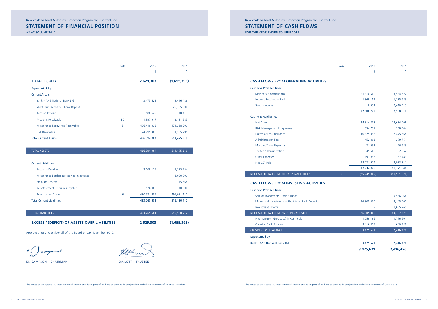# **STATEMENT OF CASH FLOWS**

FOR THE YEAR ENDED 30 JUNE 2012

New Zealand Local Authority Protection Programme Disaster Fund

|                                            | <b>Note</b> | 2012           | 2011           |
|--------------------------------------------|-------------|----------------|----------------|
|                                            |             | \$             | \$             |
| <b>SH FLOWS FROM OPERATING ACTIVITIES</b>  |             |                |                |
| n was Provided from:                       |             |                |                |
| Members' Contributions                     |             | 21,310,560     | 3,534,622      |
| Interest Received - Bank                   |             | 1,369,152      | 1,235,683      |
| Sundry Income                              |             | 8,531          | 2,410,313      |
|                                            |             | 22,688,243     | 7,180,618      |
| n was Applied to:                          |             |                |                |
| <b>Net Claims</b>                          |             | 14,314,808     | 12,634,008     |
| Risk Management Programme                  |             | 334,737        | 338,044        |
| <b>Excess of Loss Insurance</b>            |             | 10,325,098     | 2,475,568      |
| <b>Administration Fees</b>                 |             | 452,803        | 279,751        |
| <b>Meeting/Travel Expenses</b>             |             | 31,533         | 20,623         |
| <b>Trustees' Remuneration</b>              |             | 45,600         | 32,052         |
| <b>Other Expenses</b>                      |             | 197,896        | 57,789         |
| Net GST Paid                               |             | 22, 231, 574   | 2,933,811      |
|                                            |             | 47,934,048     | 18,771,646     |
| <b>CASH FLOW FROM OPERATING ACTIVITIES</b> | 3           | (25, 245, 805) | (11, 591, 028) |

| <b>CASH FLOWS FROM OPERATING ACTIVITIES</b>        |                     |                |
|----------------------------------------------------|---------------------|----------------|
| Cash was Provided from:                            |                     |                |
| Members' Contributions                             | 21,310,560          | 3,534,622      |
| Interest Received - Bank                           | 1,369,152           | 1,235,683      |
| Sundry Income                                      | 8,531               | 2,410,313      |
|                                                    | 22,688,243          | 7,180,618      |
| Cash was Applied to:                               |                     |                |
| <b>Net Claims</b>                                  | 14,314,808          | 12,634,008     |
| Risk Management Programme                          | 334,737             | 338,044        |
| <b>Excess of Loss Insurance</b>                    | 10,325,098          | 2,475,568      |
| <b>Administration Fees</b>                         | 452,803             | 279,751        |
| <b>Meeting/Travel Expenses</b>                     | 31,533              | 20,623         |
| Trustees' Remuneration                             | 45,600              | 32,052         |
| Other Expenses                                     | 197,896             | 57,789         |
| Net GST Paid                                       | 22, 231, 574        | 2,933,811      |
|                                                    | 47,934,048          | 18,771,646     |
| NET CASH FLOW FROM OPERATING ACTIVITIES            | 3<br>(25, 245, 805) | (11, 591, 028) |
| <b>CASH FLOWS FROM INVESTING ACTIVITIES</b>        |                     |                |
| Cash was Provided from:                            |                     |                |
| Sale of Investments - WiNZ Funds                   |                     | 9,536,964      |
| Maturity of Investments - Short term Bank Deposits | 26,305,000          | 2,145,000      |
| Investment Income                                  |                     | 1.685.265      |

NET CASH FLOW FROM INVESTING ACTIVITIES

Opening Cash Balance

CLOSING CASH BALANCE

|                                                    | 3,475,621  | 2.416.426  |
|----------------------------------------------------|------------|------------|
| k – ANZ National Bank Ltd                          | 3,475,621  | 2,416,426  |
| resented by:                                       |            |            |
| <b>SING CASH BALANCE</b>                           | 3,475,621  | 2,416,426  |
| <b>Opening Cash Balance</b>                        | 2,416,426  | 640,225    |
| Net Increase / (Decrease) in Cash Held             | 1,059,195  | 1,776,201  |
| <b>CASH FLOW FROM INVESTING ACTIVITIES</b>         | 26,305,000 | 13,367,229 |
| Investment Income                                  |            | 1,685,265  |
| Maturity of Investments - Short term Bank Deposits | 26,305,000 | 2,145,000  |
| Sale of Investments - WiNZ Funds                   |            | 9,536,964  |
| T WAS THOMAGA TIONI.                               |            |            |

Represented by:

Bank – ANZ National Bank Ltd

# **STATEMENT OF FINANCIAL POSITION**

As At 30 June 2012

New Zealand Local Authority Protection Programme Disaster Fund

|                                     | <b>Note</b> | 2012<br>\$  | 2011<br>\$  |
|-------------------------------------|-------------|-------------|-------------|
|                                     |             |             |             |
| <b>TOTAL EQUITY</b>                 |             | 2,629,303   | (1,655,393) |
| Represented By:                     |             |             |             |
| <b>Current Assets</b>               |             |             |             |
| Bank - ANZ National Bank Ltd        |             | 3,475,621   | 2,416,426   |
| Short Term Deposits - Bank Deposits |             |             | 26,305,000  |
| <b>Accrued Interest</b>             |             | 106,648     | 18,413      |
| <b>Accounts Receivable</b>          | 10          | 1,397,917   | 13,181,285  |
| Reinsurance Recoveries Receivable   | 5           | 406,419,333 | 471,368,900 |
| <b>GST Receivable</b>               |             | 24,995,465  | 1,185,295   |
| <b>Total Current Assets</b>         |             | 436,394,984 | 514,475,319 |

| <b>TOTAL ASSETS</b>                       |   | 436,394,984 | 514,475,319 |
|-------------------------------------------|---|-------------|-------------|
|                                           |   |             |             |
| <b>Current Liabilities</b>                |   |             |             |
| <b>Accounts Payable</b>                   |   | 3,068,124   | 1,223,934   |
| Reinsurance Bordereau received in advance |   |             | 18,000,000  |
| <b>Premium Reserve</b>                    |   | ٠           | 115,668     |
| Reinstatement Premiums Payable            |   | 126,068     | 710,000     |
| <b>Provision for Claims</b>               | 6 | 430,571,489 | 496,081,110 |
| <b>Total Current Liabilities</b>          |   | 433,765,681 | 516,130,712 |
|                                           |   |             |             |

| <b>TOTAL LIABILITIES</b>                             | 433.765.681 | 1516, 130, 712 |
|------------------------------------------------------|-------------|----------------|
| <b>EXCESS / (DEFICIT) OF ASSETS OVER LIABILITIES</b> | 2,629,303   | (1,655,393)    |

Approved for and on behalf of the Board on 29 November 2012:

 $\sqrt{2}$ 

KN SAMPSON – CHAIRMAN DA LOTT – TRUSTEE

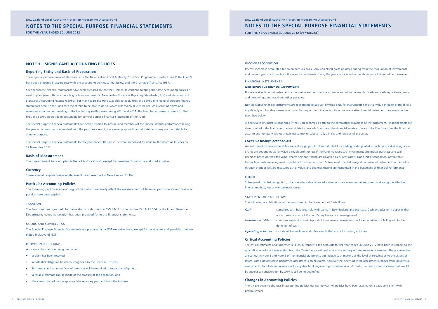### Income Recognition

Interest income is accounted for on an accruals basis. Any unrealised gains or losses arising from the revaluation of investments and realised gains or losses from the sale of investments during the year are included in the Statement of Financial Performance.

### Financial Instruments

### *Non-derivative financial instruments*

Non-derivative financial instruments comprise investments in shares, trade and other receivables, cash and cash equivalents, loans and borrowings, and trade and other payables.

Non-derivative financial instruments are recognised initially at fair value plus, for instruments not at fair value through profit or loss, any directly attributable transaction costs. Subsequent to initial recognition, non-derivative financial instruments are measured as described below.

A financial instrument is recognised if the Fund becomes a party to the contractual provisions of the instrument. Financial assets are derecognised if the Fund's contractual rights to the cash flows from the financial assets expire or if the Fund transfers the financial asset to another party without retaining control or substantially all risks and rewards of the asset.

### *Fair value through profit or loss*

An instrument is classified as at fair value through profit or loss if it is held for trading or designated as such upon initial recognition. Shares are designated at fair value through profit or loss if the Fund manages such investments and makes purchase and sale decisions based on their fair value. Shares held for trading are classified as current assets. Upon initial recognition, attributable transaction costs are recognised in profit or loss when incurred. Subsequent to initial recognition, financial instruments at fair value through profit or loss are measured at fair value, and changes therein are recognised in the Statement of Financial Performance.

### **OTHER**

Subsequent to initial recognition, other non-derivative financial instruments are measured at amortised cost using the effective interest method, less any impairment losses.

### STATEMENT OF CASH FLOWS

|                       | The following are definitions of the terms used in the Statement of Cash Flows:                         |
|-----------------------|---------------------------------------------------------------------------------------------------------|
| Cash:                 | comprises cash balances held with banks in New Zealand and overseas. Cash excludes term deposits that   |
|                       | are not used as part of the Fund's day to day cash management.                                          |
| Investing activities: | comprise acquisition and disposal of investments. Investments include securities not falling within the |
|                       | definition of cash                                                                                      |

*Operating activities*: include all transactions and other events that are not investing activities.

### **Critical Accounting Policies**

The critical estimates and judgements taken in respect to the accounts for the year ended 30 June 2012 have been in respect to the quantification of the losses arising from the Canterbury earthquakes and the subsequent reinsurance recoveries. The uncertainties are set out in Note 5 and Note 6 of the financial statements but include such matters as the level of certainty as to the extent of losses. Loss assessors have performed assessments on all claims, however the extent of these assessments ranges from initial visual assessments, to full details reviews including structural engineering considerations. As such, the final extent of claims that would be subject to consideration by LAPP is still being quantified.

### **Changes in Accounting Policies**

There have been no changes in accounting policies during the year. All policies have been applied on a basis consistent with previous years.

FOR THE YEAR ENDED 30 JUNE 2012 (*continued*)

# **NOTES TO THE special purpose FINANCIAL STATEMENTS**  New Zealand Local Authority Protection Programme Disaster Fund

### **NOTE 1. SIGNIFICANT ACCOUNTING POLICIES**

### **Reporting Entity and Basis of Preparation**

These special purpose financial statements for the New Zealand Local Authority Protection Programme Disaster Fund, ("The Fund") have been prepared in accordance with the accounting policies set out below and the Charitable Trusts Act 1957.

Special purpose financial statements have been prepared so that the Fund could continue to apply the same accounting policies it used in prior years. Those accounting policies are based on New Zealand Financial Reporting Standards (FRSs) and Statements of Standards Accounting Practice (SSAPs). For many years the Fund was able to apply FRSs and SSAPs in its general purpose financial statements because the Fund met the criteria to be able to do so, which was mainly due to its size. As a result of claims and reinsurance transactions relating to the Canterbury earthquakes during 2010 and 2011, the Fund has increased in size such that FRSs and SSAPs are not deemed suitable for general purpose financial statements of the Fund.

The special purpose financial statements have been prepared to inform Fund members of the Fund's financial performance during the year on a basis that is consistent with the past. As a result, the special purpose financial statements may not be suitable for another purpose.

The special purpose financial statements for the year ended 30 June 2012 were authorised for issue by the Board of Trustees on 29 November 2012.

### **Basis of Measurement**

The measurement base adopted is that of historical cost, except for investments which are at market value.

### **Currency**

These special purpose financial Statements are presented in New Zealand Dollars.

### **Particular Accounting Policies**

The following particular accounting policies which materially affect the measurement of financial performance and financial position have been applied:

### **TAXATION**

The Fund has been granted charitable status under section CW 34(1) of the Income Tax Act 2004 by the Inland Revenue Department, hence no taxation has been provided for in the financial statements.

### Goods and Services Tax

The Special Purpose Financial Statements are prepared on a GST exclusive basis, except for receivables and payables that are stated inclusive of GST.

### Provision for Claims

A provision for claims is recognised when:

- a claim has been received;
- a potential obligation has been recognised by the Board of Trustees;
- it is probable that an outflow of resources will be required to settle the obligation;
- a reliable estimate can be made of the amount of the obligation; and
- the claim is based on the approved discretionary payment from the trustees.

# **NOTES TO THE special purpose FINANCIAL STATEMENTS**

FOR THE YEAR ENDED 30 JUNE 2012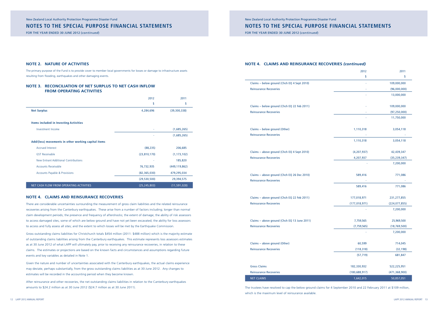# **NOTE 4. CLAIMS AND REINSURANCE RECOVERIES** *(continued)*

| Claims - below ground (Chch EQ 4 Sept 2010)<br><b>Reinsurance Recoveries</b>  |  |
|-------------------------------------------------------------------------------|--|
| Claims - below ground (Chch EQ 22 Feb 2011)<br><b>Reinsurance Recoveries</b>  |  |
| Claims - below ground (Other)<br><b>Reinsurance Recoveries</b>                |  |
| Claims - above ground (Chch EQ 4 Sept 2010)<br><b>Reinsurance Recoveries</b>  |  |
| Claims - above ground (Chch EQ 26 Dec 2010)<br><b>Reinsurance Recoveries</b>  |  |
| Claims - above ground (Chch EQ 22 Feb 2011)<br><b>Reinsurance Recoveries</b>  |  |
| Claims - above ground (Chch EQ 13 June 2011)<br><b>Reinsurance Recoveries</b> |  |

|                                              | 2012            | 2011            |
|----------------------------------------------|-----------------|-----------------|
|                                              | \$              | \$              |
| Claims - below ground (Chch EQ 4 Sept 2010)  | ×,              | 109,000,000     |
| <b>Reinsurance Recoveries</b>                |                 | (96,000,000)    |
|                                              |                 | 13,000,000      |
| Claims - below ground (Chch EQ 22 Feb 2011)  |                 | 109,000,000     |
| <b>Reinsurance Recoveries</b>                |                 | (97, 250, 000)  |
|                                              |                 | 11,750,000      |
| Claims - below ground (Other)                | 1,110,318       | 3,054,118       |
| <b>Reinsurance Recoveries</b>                |                 |                 |
|                                              | 1,110,318       | 3,054,118       |
| Claims - above ground (Chch EQ 4 Sept 2010)  | (4, 207, 937)   | 42,439,347      |
| <b>Reinsurance Recoveries</b>                | 4,207,937       | (35, 239, 347)  |
|                                              |                 | 7,200,000       |
| Claims - above ground (Chch EQ 26 Dec 2010)  | 589,416         | 771,086         |
| <b>Reinsurance Recoveries</b>                |                 |                 |
|                                              | 589,416         | 771,086         |
| Claims - above ground (Chch EQ 22 Feb 2011)  | 177,018,971     | 231,277,855     |
| <b>Reinsurance Recoveries</b>                | (177, 018, 971) | (224, 077, 855) |
|                                              |                 | 7,200,000       |
| Claims - above ground (Chch EQ 13 June 2011) | 7,759,565       | 25,969,500      |
| <b>Reinsurance Recoveries</b>                | (7, 759, 565)   | (18, 769, 500)  |
|                                              |                 | 7,200,000       |
| Claims - above ground (Other)                | 60,599          | 714,045         |
| <b>Reinsurance Recoveries</b>                | (118, 318)      | (32, 198)       |
|                                              | (57, 719)       | 681,847         |
| <b>Gross Claims</b>                          | 182,330,932     | 522,225,951     |
| <b>Reinsurance Recoveries</b>                | (180, 688, 917) | (471, 368, 900) |
| <b>NET CLAIMS</b>                            | 1,642,015       | 50,857,051      |

The trustees have resolved to cap the below ground claims for 4 September 2010 and 22 February 2011 at \$109 million, which is the maximum level of reinsurance available.

New Zealand Local Authority Protection Programme Disaster Fund

# **NOTES TO THE special purpose FINANCIAL STATEMENTS**

FOR THE YEAR ENDED 30 JUNE 2012 (*continued*)

# **NOTES TO THE special purpose FINANCIAL STATEMENTS**

FOR THE YEAR ENDED 30 JUNE 2012 (*continued*)

### **NOTE 2. NATURE OF ACTIVITIES**

The primary purpose of the Fund is to provide cover to member local governments for losses or damage to infrastructure assets resulting from flooding, earthquakes and other damaging events.

### **NOTE 3. RECONCILIATION OF NET SURPLUS TO NET CASH INFLOW FROM OPERATING ACTIVITIES**

|                                                     | 2012           | 2011            |
|-----------------------------------------------------|----------------|-----------------|
|                                                     | \$             | \$              |
| <b>Net Surplus</b>                                  | 4,284,696      | (39,300,338)    |
| <b>Items included in Investing Activities</b>       |                |                 |
| Investment Income                                   |                | (1,685,265)     |
|                                                     |                | (1,685,265)     |
| Add/(less) movements in other working capital items |                |                 |
| <b>Accrued Interest</b>                             | (88, 235)      | 206,685         |
| <b>GST Receivable</b>                               | (23,810,170)   | (1, 173, 102)   |
| New Entrant Additional Contributions                |                | 185,820         |
| <b>Accounts Receivable</b>                          | 76,732,935     | (449, 119, 862) |
| <b>Accounts Payable &amp; Provisions</b>            | (82, 365, 030) | 479,295,034     |
|                                                     | (29, 530, 500) | 29,394,575      |
| NET CASH FLOW FROM OPERATING ACTIVITIES             | (25, 245, 803) | (11, 591, 028)  |

### **NOTE 4. CLAIMS AND REINSURANCE RECOVERIES**

There are considerable uncertainties surrounding the measurement of gross claim liabilities and the related reinsurance recoveries arising from the Canterbury earthquakes. These arise from a number of factors including; longer than normal claim development periods; the presence and frequency of aftershocks; the extent of damage; the ability of risk assessors to access damaged sites, some of which are below ground and have not yet been excavated; the ability for loss assessors to access and fully assess all sites; and the extent to which losses will be met by the Earthquake Commission.

Gross outstanding claims liabilities for Christchurch totals \$454 million (2011: \$488 million) which is the majority estimate of outstanding claims liabilities arising from the Canterbury earthquakes. This estimate represents loss assessors estimates as at 30 June 2012 of what LAPP will ultimately pay, prior to receiving any reinsurance recoveries, in relation to these claims. The estimates or projections are based on the known facts and circumstances and assumptions regarding future events and key variables as detailed in Note 1.

Given the nature and number of uncertainties associated with the Canterbury earthquakes, the actual claims experience may deviate, perhaps substantially, from the gross outstanding claims liabilities as at 30 June 2012. Any changes to estimates will be recorded in the accounting period when they become known.

After reinsurance and other recoveries, the net outstanding claims liabilities in relation to the Canterbury earthquakes amounts to \$24.2 million as at 30 June 2012 (\$24.7 million as at 30 June 2011).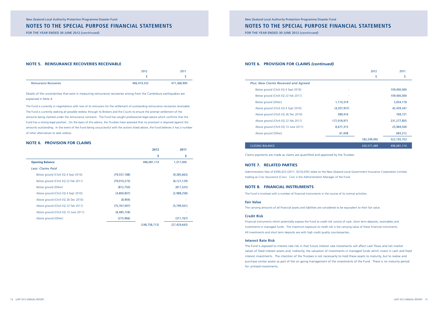# New Zealand Local Authority Protection Programme Disaster Fund **NOTES TO THE special purpose FINANCIAL STATEMENTS**

FOR THE YEAR ENDED 30 JUNE 2012 (*continued*)

### **NOTE 6. PROVISION FOR CLAIMS** *(continued)*

| <b>Plus: New Claims Received and Agreed</b> |
|---------------------------------------------|
| Below ground (Chch EQ 4 Sept 2010)          |
| Below ground (Chch EQ 22 Feb 2011)          |
| Below ground (Other)                        |
| Above ground (Chch EQ 4 Sept 2010)          |
| Above ground (Chch EQ 26 Dec 2010)          |
| Above ground (Chch EQ 22 Feb 2011)          |
| Above ground (Chch EQ 13 June 2011)         |
| Above ground (Other)                        |
|                                             |

### **CLOSING BALANCE**

|                                     |               | 2012        | 2011          |
|-------------------------------------|---------------|-------------|---------------|
|                                     |               | \$          | \$            |
| s: New Claims Received and Agreed   |               |             |               |
| Below ground (Chch EQ 4 Sept 2010)  | ٠             |             | 109,000,000   |
| Below ground (Chch EQ 22 Feb 2011)  |               |             | 109,000,000   |
| Below ground (Other)                | 1,110,319     |             | 3,054,118     |
| Above ground (Chch EQ 4 Sept 2010)  | (4, 207, 937) |             | 42,439,347    |
| Above ground (Chch EQ 26 Dec 2010)  | 589,416       |             | 769,721       |
| Above ground (Chch EQ 22 Feb 2011)  | 177,018,971   |             | 231, 277, 855 |
| Above ground (Chch EQ 13 June 2011) | 8,677,315     |             | 25,969,500    |
| Above ground (Other)                | 61,008        |             | 683,212       |
|                                     |               | 183,249,092 | 522,193,753   |
| <b>SING BALANCE</b>                 |               | 430,571,489 | 496,081,110   |

Claims payments are made as claims are quantified and approved by the Trustees.

### **NOTE 7. RELATED PARTIES**

Administration fees of \$394,423 (2011: \$316,035) relate to the New Zealand Local Government Insurance Corporation Limited, trading as Civic Assurance (Civic). Civic is the Administration Manager of the Fund.

### **NOTE 8. FINANCIAL INSTRUMENTS**

The Fund is involved with a number of financial instruments in the course of its normal activities.

### **Fair Value**

The carrying amounts of all financial assets and liabilities are considered to be equivalent to their fair value.

### **Credit Risk**

Financial instruments which potentially expose the Fund to credit risk consist of cash, short term deposits, receivables and investments in managed funds. The maximum exposure to credit risk is the carrying value of these financial instruments. All investments and short term deposits are with high credit quality counterparties..

### **Interest Rate Risk**

The Fund is exposed to interest rate risk in that future interest rate movements will affect cash flows and net market values of fixed interest assets and, indirectly, the valuation of investments in managed funds which invest in cash and fixed interest investments. The intention of the Trustees is not necessarily to hold these assets to maturity, but to realise and purchase similar assets as part of the on going management of the investments of the Fund. There is no maturity period for unitised investments.

### **NOTES TO THE special purpose FINANCIAL STATEMENTS**

FOR THE YEAR ENDED 30 JUNE 2012 (*continued*)

### **NOTE 5. REINSURANCE RECOVERIES RECEIVABLE**

|                               | 2012        | 2011        |
|-------------------------------|-------------|-------------|
|                               |             |             |
| <b>Reinsurance Recoveries</b> | 406,419,333 | 471,368,900 |

Details of the uncertainties that exist in measuring reinsurance recoveries arising from the Canterbury earthquakes are explained in Note 4.

The Fund is currently in negotiations with two of its reinsurers for the settlement of outstanding reinsurance recoveries receivable. The Fund is currently seeking all possible redress through its Brokers and the Courts to ensure the prompt settlement of the amounts being claimed under the reinsurance contracts. The Fund has sought professional legal advice which confirms that the Fund has a strong legal position. On the basis of this advice, the Trustees have assessed that no provision is required against the amounts outstanding. In the event of the Fund being unsuccessful with the actions listed above, the Fund believes it has a number of other alternatives to seek redress.

### **NOTE 6. PROVISION FOR CLAIMS**

|                                     |                | 2012            | 2011           |
|-------------------------------------|----------------|-----------------|----------------|
|                                     |                | \$              | \$             |
| <b>Opening Balance</b>              |                | 496,081,110     | 1,317,000      |
| Less: Claims Paid                   |                |                 |                |
| Below ground (Chch EQ 4 Sept 2010)  | (79, 557, 188) |                 | (9,385,663)    |
| Below ground (Chch EQ 22 Feb 2011)  | (79,010,273)   |                 | (8, 127, 129)  |
| Below ground (Other)                | (812, 750)     |                 | (817, 325)     |
| Above ground (Chch EQ 4 Sept 2010)  | (4,800,807)    |                 | (2,988,258)    |
| Above ground (Chch EQ 26 Dec 2010)  | (8,904)        |                 |                |
| Above ground (Chch EQ 22 Feb 2011)  | (75, 767, 097) |                 | (5,799,501)    |
| Above ground (Chch EQ 13 June 2011) | (8,485,728)    |                 |                |
| Above ground (Other)                | (315, 966)     |                 | (311, 767)     |
|                                     |                | (248, 758, 713) | (27, 429, 643) |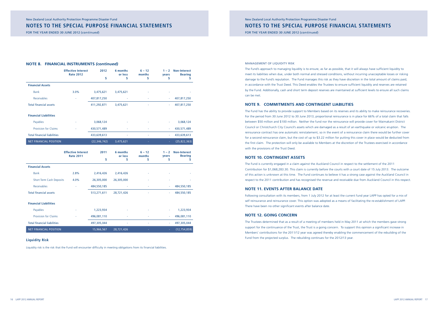# New Zealand Local Authority Protection Programme Disaster Fund **NOTES TO THE special purpose FINANCIAL STATEMENTS**

FOR THE YEAR ENDED 30 JUNE 2012 (*continued*)

### Management of liquidity risk

The Fund's approach to managing liquidity is to ensure, as far as possible, that it will always have sufficient liquidity to meet its liabilities when due, under both normal and stressed conditions, without incurring unacceptable losses or risking damage to the Fund's reputation. The Fund manages this risk as they have discretion in the total amount of claims paid, in accordance with the Trust Deed. This Deed enables the Trustees to ensure sufficient liquidity and reserves are retained by the Fund. Additionally, cash and short term deposit reserves are maintained at sufficient levels to ensure all such claims can be met.

# **NOTE 9. COMMITMENTS AND CONTINGENT LIABILITIES**

The Fund has the ability to provide support to Members based on its reserves and its ability to make reinsurance recoveries. For the period from 30 June 2012 to 30 June 2013, proportional reinsurance is in place for 66% of a total claim that falls between \$50 million and \$100 million. Neither the fund nor the reinsurance will provide cover for Waimakariri District Council or Christchurch City Council's assets which are damaged as a result of an earthquake or volcanic eruption. The reinsurance contract has one automatic reinstatement, so in the event of a reinsurance claim there would be further cover for a second reinsurance claim, but the cost of up to \$3.22 million for putting this cover in place would be deducted from the first claim. The protection will only be available to Members at the discretion of the Trustees exercised in accordance with the provisions of the Trust Deed.

### **NOTE 10. CONTINGENT ASSETS**

The Fund is currently engaged in a claim against the Auckland Council in respect to the settlement of the 2011 Contribution for \$1,068,283.30. This claim is currently before the courts with a court date of 15 July 2013. The outcome of this action is unknown at this time. The Fund continues to believe it has a strong case against the Auckland Council in respect to the 2011 contribution and has recognised the revenue and receivable due from Auckland Council in this respect.

### **NOTE 11. EVENTS AFTER BALANCE DATE**

Following consultation with its members, from 1 July 2012 for at least the current fund year LAPP has opted for a mix of self reinsurance and reinsurance cover. This option was adopted as a means of facilitating the re-establishment of LAPP. There have been no other significant events after balance date.

### **NOTE 12. going concern**

The Trustees determined that as a result of a meeting of members held in May 2011 at which the members gave strong support for the continuance of the Trust, the Trust is a going concern. To support this opinion a significant increase in Members' contributions for the 2011/12 year was agreed thereby enabling the commencement of the rebuilding of the Fund from the projected surplus. The rebuilding continues for the 2012/13 year.

### **NOTES TO THE special purpose FINANCIAL STATEMENTS**

FOR THE YEAR ENDED 30 JUNE 2012 (*continued*)

### **NOTE 8. FINANCIAL INSTRUMENTS** *(continued)*

|                                    | <b>Effective Interest</b><br><b>Rate 2012</b> | 2012           | 6 months<br>or less | $6 - 12$<br>months | $1 - 2$<br>years | <b>Non-Interest</b><br><b>Bearing</b> |
|------------------------------------|-----------------------------------------------|----------------|---------------------|--------------------|------------------|---------------------------------------|
|                                    |                                               | \$             | \$                  | \$                 | S                |                                       |
| <b>Financial Assets</b>            |                                               |                |                     |                    |                  |                                       |
| <b>Bank</b>                        | 3.0%                                          | 3,475,621      | 3,475,621           | ۰                  |                  |                                       |
| Receivables                        | ٠                                             | 407,817,250    |                     | ۰                  | ÷                | 407,817,250                           |
| <b>Total financial assets</b>      |                                               | 411,292,871    | 3,475,621           | ٠                  | $\sim$           | 407,817,250                           |
| <b>Financial Liabilities</b>       |                                               |                |                     |                    |                  |                                       |
| Payables                           | ٠                                             | 3,068,124      | ۰                   |                    | ٠                | 3,068,124                             |
| <b>Provision for Claims</b>        |                                               | 430,571,489    | ٠                   | ٠                  | ۰.               | 430,571,489                           |
| <b>Total financial liabilities</b> |                                               | 433,639,613    | ۰                   | ٠                  | $\sim$           | 433,639,613                           |
| <b>NET FINANCIAL POSITION</b>      |                                               | (22, 346, 742) | 3,475,621           |                    | ÷.               | (25, 822, 363)                        |

|                                    | <b>Effective Interest</b><br><b>Rate 2011</b> | 2011        | 6 months<br>or less | $6 - 12$<br>months | $1 - 2$<br>years | <b>Non-Interest</b><br><b>Bearing</b> |
|------------------------------------|-----------------------------------------------|-------------|---------------------|--------------------|------------------|---------------------------------------|
|                                    |                                               | \$          | \$                  | \$                 | S                |                                       |
| <b>Financial Assets</b>            |                                               |             |                     |                    |                  |                                       |
| <b>Bank</b>                        | 2.8%                                          | 2,416,426   | 2,416,426           | ٠                  |                  |                                       |
| <b>Short Term Cash Deposits</b>    | 4.0%                                          | 26,305,000  | 26,305,000          | ۰                  |                  |                                       |
| <b>Receivables</b>                 | ٠                                             | 484,550,185 | ٠                   | ٠                  |                  | 484,550,185                           |
| <b>Total financial assets</b>      |                                               | 513,271,611 | 28,721,426          | ٠                  | ÷                | 484,550,185                           |
| <b>Financial Liabilities</b>       |                                               |             |                     |                    |                  |                                       |
| Payables                           |                                               | 1,223,934   | ٠                   | ٠                  | ٠                | 1,223,934                             |
| <b>Provision for Claims</b>        |                                               | 496,081,110 | ٠                   | ٠                  | ٠.               | 496,081,110                           |
| <b>Total financial liabilities</b> |                                               | 497,305,044 | ٠                   | ٠                  | ٠                | 497,305,044                           |
| <b>NET FINANCIAL POSITION</b>      |                                               | 15,966,567  | 28,721,426          |                    | $\sim$           | (12, 754, 859)                        |

### **Liquidity Risk**

Liquidity risk is the risk that the Fund will encounter difficulty in meeting obligations from its financial liabilities.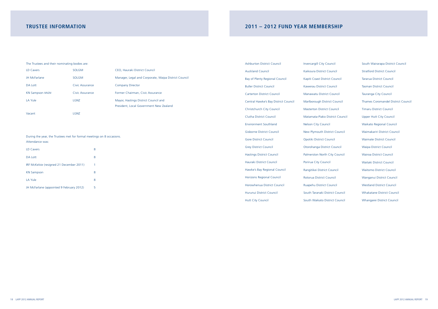# **2011 – 2012 FUND YEAR MEMBERSHIP**

| <b>Ashburton District Council</b>    | <b>Invercargill City Cound</b> |
|--------------------------------------|--------------------------------|
| <b>Auckland Council</b>              | Kaikoura District Cour         |
| Bay of Plenty Regional Council       | Kapiti Coast District C        |
| <b>Buller District Council</b>       | Kawerau District Cour          |
| <b>Carterton District Council</b>    | Manawatu District Co           |
| Central Hawke's Bay District Council | Marlborough District           |
| Christchurch City Council            | <b>Masterton District Cor</b>  |
| <b>Clutha District Council</b>       | Matamata-Piako Distr           |
| <b>Environment Southland</b>         | <b>Nelson City Council</b>     |
| <b>Gisborne District Council</b>     | New Plymouth District          |
| <b>Gore District Council</b>         | Opotiki District Cound         |
| <b>Grey District Council</b>         | Otorohanga District C          |
| <b>Hastings District Council</b>     | Palmerston North City          |
| Hauraki District Council             | Porirua City Council           |
| Hawke's Bay Regional Council         | Rangitikei District Cou        |
| <b>Horizons Regional Council</b>     | Rotorua District Coun          |
| Horowhenua District Council          | Ruapehu District Cour          |
| Hurunui District Council             | South Taranaki Distric         |
| <b>Hutt City Council</b>             | South Waikato Distric          |

| <b>City Council</b>     | South Wairarapa District Council          |
|-------------------------|-------------------------------------------|
| istrict Council         | <b>Stratford District Council</b>         |
| t District Council      | <b>Tararua District Council</b>           |
| istrict Council         | <b>Tasman District Council</b>            |
| <b>District Council</b> | Tauranga City Council                     |
| th District Council     | <b>Thames Coromandel District Council</b> |
| District Council        | <b>Timaru District Council</b>            |
| Piako District Council  | <b>Upper Hutt City Council</b>            |
| Council                 | <b>Waikato Regional Council</b>           |
| uth District Council    | Waimakariri District Council              |
| trict Council           | <b>Waimate District Council</b>           |
| a District Council      | <b>Waipa District Council</b>             |
| North City Council      | <b>Wairoa District Council</b>            |
| Council                 | <b>Waitaki District Council</b>           |
| District Council        | <b>Waitomo District Council</b>           |
| strict Council          | Wanganui District Council                 |
| istrict Council         | <b>Westland District Council</b>          |
| aki District Council    | <b>Whakatane District Council</b>         |
| ato District Council    | Whangarei District Council                |

# **TRUSTEE INFORMATION**

### The Trustees and their nominating bodies are:

| LD Cavers              | <b>SOLGM</b>    | CEO, Hauraki District Council                        |
|------------------------|-----------------|------------------------------------------------------|
| <b>JH McFarlane</b>    | <b>SOLGM</b>    | Manager, Legal and Corporate, Waipa District Council |
| DA Lott                | Civic Assurance | <b>Company Director</b>                              |
| <b>KN Sampson MNZM</b> | Civic Assurance | Former Chairman, Civic Assurance                     |
| LA Yule                | LGNZ            | Mayor, Hastings District Council and                 |
|                        |                 | President, Local Government New Zealand              |
| Vacant                 | LGNZ            |                                                      |

### During the year, the Trustees met for formal meetings on 8 occasions. Attendance was:

| LD Cavers                                | 8 |
|------------------------------------------|---|
| <b>DA Lott</b>                           | 8 |
| IRF McKelvie (resigned 21 December 2011) | 1 |
| <b>KN Sampson</b>                        | 8 |
| <b>LA Yule</b>                           | 8 |
| JH McFarlane (appointed 9 February 2012) | 5 |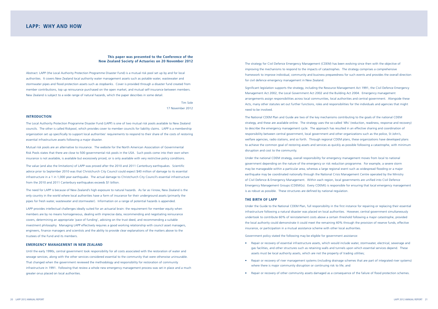The strategy for Civil Defence Emergency Management (CDEM) has been evolving since then with the objective of improving the mechanisms to respond to the impacts of catastrophes. The strategy comprises a comprehensive framework to improve individual, community and business preparedness for such events and provides the overall direction for civil defence emergency management in New Zealand.

Significant legislation supports the strategy, including the Resource Management Act 1991, the Civil Defence Emergency Management Act 2002, the Local Government Act 2002 and the Building Act 2004. Emergency management arrangements assign responsibilities across local communities, local authorities and central government. Alongside these Acts, many other statutes set out further functions, roles and responsibilities for the individuals and agencies that might need to be involved.

The National CDEM Plan and Guide are two of the key mechanisms contributing to the goals of the national CDEM strategy, and these are available online. The strategy uses the so-called '4Rs' (reduction, readiness, response and recovery) to describe the emergency management cycle. The approach has resulted in an effective sharing and coordination of responsibility between central government, local government and other organizations such as the police, St John's, welfare agencies, radio stations, and so forth. Through regional CDEM plans, these organizations have developed plans to achieve the common goal of restoring assets and services as quickly as possible following a catastrophe, with minimum disruption and cost to the community.

Under the national CDEM strategy, overall responsibility for emergency management moves from local to national government depending on the nature of the emergency or risk reduction programme. For example, a severe storm may be manageable within a particular area, whereas a large regional event such as widespread flooding or a major earthquake may be coordinated nationally through the National Crisis Management Centre operated by the Ministry of Civil Defence & Emergency Management. Within each region, local governments are unified into Civil Defence Emergency Management Groups (CDEMGs). Every CDEMG is responsible for ensuring that local emergency management is as robust as possible. These structures are defined by national regulation.

### **THE BIRTH OF LAPP**

Under the Guide to the National CDEM Plan, full responsibility in the first instance for repairing or replacing their essential infrastructure following a natural disaster was placed on local authorities. However, central government simultaneously undertook to contribute 60% of reinstatement costs above a certain threshold following a major catastrophe, provided the local authority could demonstrate it could meet the remaining 40% through the provision of reserve funds, effective insurance, or participation in a mutual assistance scheme with other local authorities.

Government policy stated the following may be eligible for government assistance:

• Repair or recovery of essential infrastructure assets, which would include water, stormwater, electrical, sewerage and

- gas facilities, and other structures such as retaining walls and tunnels upon which essential services depend. These assets must be local authority assets, which are not the property of trading utilities;
- Repair or recovery of river management systems (including drainage schemes that are part of integrated river systems) where there is major community disruption or continuing risk to life; and
- • Repair or recovery of other community assets damaged as a consequence of the failure of flood protection schemes.

# **LAPP: WHY AND HOW**

### **This paper was presented to the Conference of the New Zealand Society of Actuaries on 20 November 2012**

Abstract: LAPP (the Local Authority Protection Programme Disaster Fund) is a mutual risk pool set up by and for local authorities. It covers New Zealand local authority water management assets such as potable water, wastewater and stormwater pipes and flood protection assets such as stopbanks. Cover is provided through a disaster fund created from member contributions, top up reinsurance purchased on the open market, and mutual self-insurance between members. New Zealand is subject to a wide range of natural hazards, which the paper describes in some detail.

> Tim Sole 17 November 2012

### **INTRODUCTION**

The Local Authority Protection Programme Disaster Fund (LAPP) is one of two mutual risk pools available to New Zealand councils. The other is called Riskpool, which provides cover to member councils for liability claims. LAPP is a membership organization set up specifically to support local authorities' requirements to respond to their share of the costs of restoring essential infrastructure assets following a major disaster.

Mutual risk pools are an alternative to insurance. The website for the North American Association of Governmental Risk Pools states that there are close to 500 governmental risk pools in the USA. Such pools come into their own when insurance is not available, is available but excessively priced, or is only available with very restrictive policy conditions.

The value (and also the limitations) of LAPP was proved after the 2010 and 2011 Canterbury earthquakes. Scientific advice prior to September 2010 was that Christchurch City Council could expect \$40 million of damage to its essential infrastructure in a 1 in 1,000 year earthquake. The actual damage to Christchurch City Council's essential infrastructure from the 2010 and 2011 Canterbury earthquakes exceeds \$1 billion.

The need for LAPP is because of New Zealand's high exposure to natural hazards. As far as I know, New Zealand is the only country in the world where local authorities have a form of insurance for their underground assets (primarily the pipes for fresh water, wastewater and stormwater). Information on a range of potential hazards is appended.

LAPP provides intellectual challenges ideally suited for an actuarial brain: the requirement for member equity when members are by no means homogeneous, dealing with imprecise data, recommending and negotiating reinsurance covers, determining an appropriate 'pace of funding', advising on the trust deed, and recommending a suitable investment philosophy. Managing LAPP effectively requires a good working relationship with council asset managers, engineers, finance managers and scientists and the ability to provide clear explanations of the matters above to the trustees of the Fund and its members.

### **EMERGENCY MANAGEMENT IN NEW ZEALAND**

Until the early 1990s, central government took responsibility for all costs associated with the restoration of water and sewage services, along with the other services considered essential to the community that were otherwise uninsurable. That changed when the government reviewed the methodology and responsibility for restoration of community infrastructure in 1991. Following that review a whole new emergency management process was set in place and a much greater onus placed on local authorities.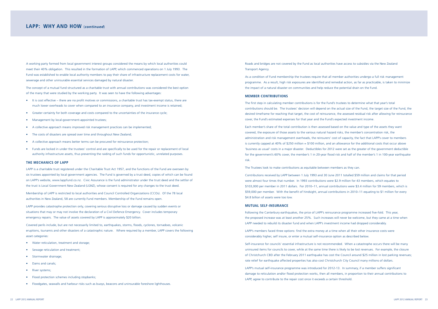Roads and bridges are not covered by the Fund as local authorities have access to subsidies via the New Zealand Transport Agency.

As a condition of Fund membership the trustees require that all member authorities undergo a full risk management programme. As a result, high risk exposures are identified and remedial action, as far as practicable, is taken to minimize the impact of a natural disaster on communities and help reduce the potential drain on the Fund.

### **MEMBER CONTRIBUTIONS**

The first step in calculating member contributions is for the Fund's trustees to determine what that year's total contributions should be. The trustees' decision will depend on the actual size of the Fund, the target size of the Fund, the desired timeframe for reaching that target, the cost of reinsurance, the assessed residual risk after allowing for reinsurance cover, the Fund's estimated expenses for that year and the Fund's expected investment income.

Contributions received by LAPP between 1 July 1993 and 30 June 2011 totalled \$59 million and claims for that period were almost four times that number. In 1993 contributions were \$2.9 million for 43 members, which equates to \$103,000 per member in 2011 dollars. For 2010–11, annual contributions were \$3.4 million for 59 members, which is \$59,000 per member. With the benefit of hindsight, annual contributions in 2010–11 equating to \$1 million for every \$4.8 billion of assets were too low.

Each member's share of the total contribution is then assessed based on the value and type of the assets they want covered, the exposure of those assets to the various natural hazard risks, the member's concentration risk, the administration and risk management overheads, the reinsurers' cost of capacity, the fact that LAPP's cover to members is currently capped at 40% of \$250 million =  $$100$  million, and an allowance for the additional costs that occur above 'business as usual' costs in a major disaster. Deductibles for 2012 were set as the greater of the government deductible for the government's 60% cover, the member's 1 in 20-year flood risk and half of the member's 1 in 100-year earthquake risk.

Self-insurance for councils' essential infrastructure is not recommended. When a catastrophe occurs there will be many uninsured items for councils to cover, while at the same time there is likely to be lost revenues. For example, the closure of Christchurch CBD after the February 2011 earthquake has cost the Council around \$25 million in lost parking revenues; rate relief for earthquake affected properties has also cost Christchurch City Council many millions of dollars.

The Trustees look to make contributions as equitable between members as they can.

### **MUTUAL SELF-INSURANCE**

Following the Canterbury earthquakes, the price of LAPP's reinsurance programme increased five-fold. This year, the proposed increase was at least another 25%. Such increases will never be welcome, but they came at a time when LAPP needed to rebuild its disaster fund and when LAPP's investment income had dropped considerably.

- It is cost effective there are no profit motives or commissions, a charitable trust has tax-exempt status, there are much lower overheads to cover when compared to an insurance company, and investment income is retained;
- Greater certainty for both coverage and costs compared to the uncertainties of the insurance cycle;
- Management by local-government-appointed trustees:
- A collective approach means improved risk management practices can be implemented;
- The costs of disasters are spread over time and throughout New Zealand;
- A collective approach means better terms can be procured for reinsurance protection;
- Funds are locked in under the trustees' control and are specifically to be used for the repair or replacement of local authority infrastructure assets, thus preventing the raiding of such funds for opportunistic, unrelated purposes.

LAPP's members faced three options: find the extra money at a time when all their other insurance costs were considerably higher, self insure, or enter a mutual self-insurance option as described below.

LAPP's mutual self-insurance programme was introduced for 2012-13. In summary, if a member suffers significant damage to reticulation and/or flood protection works, then all members, in proportion to their annual contributions to LAPP, agree to contribute to the repair cost once it exceeds a certain threshold.

A working party formed from local government interest groups considered the means by which local authorities could meet their 40% obligation. This resulted in the formation of LAPP, which commenced operations on 1 July 1993. The Fund was established to enable local authority members to pay their share of infrastructure replacement costs for water, sewerage and other uninsurable essential services damaged by natural disaster.

The concept of a mutual fund structured as a charitable trust with annual contributions was considered the best option of the many that were studied by the working party. It was seen to have the following advantages:

### **THE MECHANICS OF LAPP**

LAPP is a charitable trust registered under the Charitable Trust Act 1957, and the functions of the Fund are overseen by six trustees appointed by local government agencies. The Fund is governed by a trust deed, copies of which can be found on LAPP's website, www.lappfund.co.nz. Civic Assurance is the fund administrator under the trust deed and the settlor of the trust is Local Government New Zealand (LGNZ), whose consent is required for any changes to the trust deed.

Membership of LAPP is restricted to local authorities and Council Controlled Organizations (CCOs). Of the 78 local authorities in New Zealand, 58 are currently Fund members. Membership of the Fund remains open.

LAPP provides catastrophe protection only, covering serious disruptive loss or damage caused by sudden events or situations that may or may not involve the declaration of a Civil Defence Emergency. Cover includes temporary emergency repairs. The value of assets covered by LAPP is approximately \$20 billion.

Covered perils include, but are not necessarily limited to, earthquakes, storms, floods, cyclones, tornadoes, volcanic eruptions, tsunamis and other disasters of a catastrophic nature. Where required by a member, LAPP covers the following asset categories:

- Water reticulation, treatment and storage;
- Sewage reticulation and treatment;
- Stormwater drainage;
- Dams and canals:
- River systems:
- Flood protection schemes including stopbanks:
- Floodgates, seawalls and harbour risks such as buoys, beacons and uninsurable foreshore lighthouses.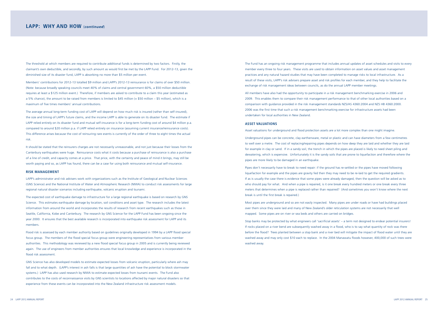The Fund has an ongoing risk management programme that includes annual updates of asset schedules and visits to every member every three to four years. These visits are used to obtain information on asset values and asset management practices and any natural hazard studies that may have been completed to manage risks to local infrastructure. As a result of these visits, LAPP's risk advisers prepare asset and risk profiles for each member, and they help to facilitate the exchange of risk management ideas between councils, as do the annual LAPP member meetings.

All members have also had the opportunity to participate in a risk management benchmarking exercise in 2006 and 2009. This enables them to compare their risk management performance to that of other local authorities based on a comparison with guidance provided in the risk management standards NZS/AS 4360:2004 and NZS HB 4360:2000. 2006 was the first time that such a risk management benchmarking exercise for infrastructure assets had been undertaken for local authorities in New Zealand.

### **ASSET VALUATIONS**

Asset valuations for underground and flood protection assets are a lot more complex than one might imagine.

Underground pipes can be concrete, clay earthenware, metal or plastic and can have diameters from a few centimetres to well over a metre. The cost of replacing/repairing pipes depends on how deep they are laid and whether they are laid for example in clay or sand. If in a sandy soil, the trench in which the pipes are placed is likely to need sheet piling and dewatering, which is expensive. Unfortunately it is the sandy soils that are prone to liquefaction and therefore where the pipes are more likely to be damaged in an earthquake.

Pipes don't necessarily have to break to need repair: if the ground has re-settled or the pipes have moved following liquefaction for example and the pipes are gravity fed then they may need to be re-laid to get the required gradients. If as is usually the case there is evidence that some pipes were already damaged, then the question will be asked as to who should pay for what. And when a pipe is repaired, is it one break every hundred meters or one break every three meters that determines when a pipe is replaced rather than repaired? (And sometimes you won't know where the next break is until the first break is repaired.)

Most pipes are underground and so are not easily inspected. Many pipes are under roads or have had buildings placed over them since they were laid and many of New Zealand's older reticulation systems are not necessarily that well mapped. Some pipes are on river or sea beds and others are carried on bridges.

Stop banks may be protected by what engineers call 'sacrificial assets' – a term not designed to endear potential insurers! If rocks placed on a river bend are subsequently washed away in a flood, who is to say what quantity of rock was there before the flood? Trees planted between a stop bank and a river bed will mitigate the impact of flood water until they are washed away and may only cost \$10 each to replace. In the 2004 Manawatu floods however, 400,000 of such trees were washed away.

The threshold at which members are required to contribute additional funds is determined by two factors. Firstly, the claimant's own deductible, and secondly, by such amount as would first be met by the LAPP Fund. For 2012-13, given the diminished size of its disaster fund, LAPP is absorbing no more than \$5 million per event.

Members' contributions for 2012-13 totalled \$9 million and LAPP's 2012-13 reinsurance is for claims of over \$50 million. (Note: because broadly speaking councils meet 40% of claims and central government 60%, a \$50 million deductible requires at least a \$125 million event.) Therefore, if members are asked to contribute to a claim this year (estimated as a 5% chance), the amount to be raised from members is limited to \$45 million (= \$50 million – \$5 million), which is a maximum of five times members' annual contributions.

The average annual long-term funding cost of LAPP will depend on how much risk is insured (rather than self-insured), the size and timing of LAPP's future claims, and the income LAPP is able to generate on its disaster fund. The estimate if LAPP relied entirely on its disaster fund and mutual self-insurance is for a long-term funding cost of around \$4 million p.a. compared to around \$20 million p.a. if LAPP relied entirely on insurance (assuming current insurance/reinsurance costs). This difference arises because the cost of reinsuring rare events is currently of the order of three to eight times the actual risk.

It should be stated that the reinsurers charges are not necessarily unreasonable, and not just because their losses from the Canterbury earthquakes were huge. Reinsurance costs what it costs because a purchase of reinsurance is also a purchase of a line of credit, and capacity comes at a price. That price, with the certainty and peace of mind it brings, may still be worth paying and so, as LAPP has found, there can be a case for using both reinsurance and mutual self-insurance.

### **RISK MANAGEMENT**

LAPP's administrator and risk advisers work with organizations such as the Institute of Geological and Nuclear Sciences (GNS Science) and the National Institute of Water and Atmospheric Research (NIWA) to conduct risk assessments for large regional natural disaster scenarios including earthquake, volcanic eruption and tsunami.

The expected cost of earthquake damage to infrastructure for a large regional earthquake is based on research by GNS Science. This estimates earthquake damage by location, soil conditions and asset type. The research includes the latest information from around the world and incorporates the results of research from recent earthquakes such as those in Seattle, California, Kobe and Canterbury. The research by GNS Science for the LAPP Fund has been ongoing since the year 2000. It ensures that the best available research is incorporated into earthquake risk assessment for LAPP and its members.

Flood risk is assessed by each member authority based on guidelines originally developed in 1994 by a LAPP flood special focus group. The members of the flood special focus group were engineering representatives from various member authorities. This methodology was reviewed by a new flood special focus group in 2005 and is currently being reviewed again. The use of engineers from member authorities ensures that local knowledge and experience is incorporated in the flood risk assessment.

GNS Science has also developed models to estimate expected losses from volcanic eruption, particularly where ash may fall and to what depth. (LAPP's interest in ash falls is that large quantities of ash have the potential to block stormwater systems.) LAPP has also used research by NIWA to estimate expected losses from tsunami events. The Fund also contributes to the costs of reconnaissance visits by GNS scientists to locations affected by major natural disasters so that experience from these events can be incorporated into the New Zealand infrastructure risk assessment models.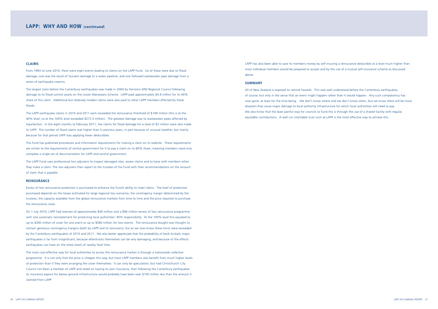LAPP has also been able to save its members money by self-insuring a reinsurance deductible at a level much higher than most individual members would be prepared to accept and by the use of a mutual self-insurance scheme as discussed above.

### **SUMMARY**

All of New Zealand is exposed to natural hazards. This was well understood before the Canterbury earthquakes, of course, but only in the sense that an event might happen rather than it would happen. Any such complacency has now gone, at least for the time being. We don't know where and we don't know when, but we know there will be more disasters that cause major damage to local authority infrastructure for which local authorities will need to pay. We also know that the least painful way for councils to fund this is through the use of a shared facility with regular, equitable contributions. A well run charitable trust such as LAPP is the most effective way to achieve this.

### **CLAIMS**

From 1993 to June 2010, there were eight events leading to claims on the LAPP Fund. Six of these were due to flood damage, one was the result of tsunami damage to a water pipeline, and one followed wastewater pipe damage from a series of earthquake swarms.

The largest claim before the Canterbury earthquakes was made in 2004 by Horizons MW Regional Council following damage to its flood control assets on the Lower Manawatu Scheme. LAPP paid approximately \$4.8 million for its 40% share of this claim. Additional but relatively modest claims were also paid to other LAPP members affected by these floods.

The LAPP earthquake claims in 2010 and 2011 each exceeded the reinsurance threshold of \$109 million (this is at the 40% level, so at the 100% level exceeded \$272.5 million). The greatest damage was to wastewater pipes affected by liquefaction. In the eight months to February 2011, five claims for flood damage for a total of \$3 million were also made to LAPP. The number of flood claims was higher than in previous years, in part because of unusual weather, but mainly because for that period LAPP was applying lower deductibles.

The Fund has published procedures and information requirements for making a claim on its website. These requirements are similar to the requirements of central government for it to pay a claim on its 60% share, meaning members need only complete a single set of documentation for LAPP and central government.

The LAPP Fund uses professional loss adjusters to inspect damaged sites, assess claims and to liaise with members when they make a claim. The loss adjusters then report to the trustees of the Fund with their recommendations on the amount of claim that is payable.

### **REINSURANCE**

Excess of loss reinsurance protection is purchased to enhance the Fund's ability to meet claims. The level of protection purchased depends on the losses estimated for large regional loss scenarios, the contingency margin determined by the trustees, the capacity available from the global reinsurance markets from time to time and the price required to purchase the reinsurance cover.

On 1 July 2010, LAPP had reserves of approximately \$40 million and a \$96 million excess of loss reinsurance programme with one automatic reinstatement for protecting local authorities' 40% responsibility. At the 100% level this equated to up to \$340 million of cover for one event or up to \$580 million for two events. The reinsurance bought was thought to contain generous contingency margins (both by LAPP and its reinsurers), but as we now know these limits were exceeded by the Canterbury earthquakes of 2010 and 2011. We also better appreciate that the probability of back-to-back major earthquakes is far from insignificant, because aftershocks themselves can be very damaging, and because of the effects earthquakes can have on the stress levels of nearby fault lines.

The most cost-effective way for local authorities to access the reinsurance market is through a nationwide collective programme. It is not only that the price is cheaper this way, but most LAPP members also benefit from much higher levels of protection than if they were arranging the cover themselves. It can only be speculation, but had Christchurch City Council not been a member of LAPP and relied on having its own insurance, then following the Canterbury earthquakes its insurance payout for below-ground infrastructure would probably have been over \$100 million less than the amount it claimed from LAPP.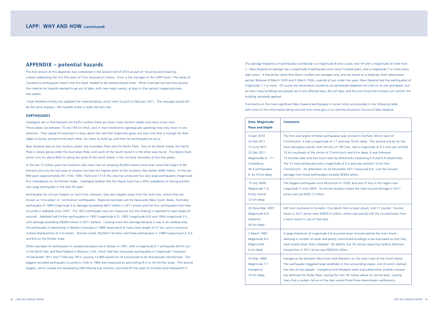The average frequency of earthquakes worldwide is a magnitude 8 once a year, and 19 with a magnitude of more than 7. New Zealand on average has a magnitude 8 earthquake once every hundred years, and a magnitude 7 or more every eight years. It should be noted that these numbers are averages only, and are based on a relatively short observation period. Between 9 March 1929 and 5 March 1934, a period of just under five years, New Zealand had five earthquakes of magnitude 7.1 or more. Of course the devastation caused by an earthquake depends not only on its size and depth, but on how many buildings and people are in the affected area, the soil type, and the one thing that humans can control: the building standards applied.

Comments on the more significant New Zealand earthquakes in recent times are provided in the following table, with most of this information being sourced from www.gns.cri.nz and the Insurance Council of New Zealand.

> .9 occurred seven minutes before the main shock, borly constructed buildings to be evacuated so that they Wo deaths, but 25 injuries requiring medical attention. Insured loss in 2011 prices was NZ\$330 million.

> and Westport on the west coast of the South Island. dslides in the surrounding slopes, one of which claimed a and Westport were evacuated when another massive ing the river 30 metres above its normal level, causing fam would flood these downstream settlements.

| Date, Magnitude,<br><b>Place and Depth</b>                                                                                            | <b>Comments</b>                                                                                                                                                                                                                                                                                           |
|---------------------------------------------------------------------------------------------------------------------------------------|-----------------------------------------------------------------------------------------------------------------------------------------------------------------------------------------------------------------------------------------------------------------------------------------------------------|
| 4 Sept 2010<br>22 Feb 2011<br>13 June 2011<br>23 Dec 2011<br>Magnitudes 6 - 7.1<br>Canterbury<br>All 4 earthquakes<br>6 to 10 km deep | The first and largest of these earth<br>Christchurch. It had a magnitude o<br>most damaging overall, with the lo<br>10 km southeast of the centre of C<br>13 minutes later and two hours lat<br>The 13 June earthquake had a mad<br>Christchurch. An aftershock on 23<br>damage from these earthquakes ex |
| 15 July 2009<br>Magnitude 7.8<br><b>Dusky Sound</b><br>12 km deep                                                                     | The biggest earthquake since Murg<br>magnitude 7 since 2003. Its remot<br>prices was just NZ\$1.5 million.                                                                                                                                                                                                |
| 20 December 2007<br>Magnitude 6.8<br>Gisborne<br>40 km deep                                                                           | Felt from Auckland to Dunedin. Or<br>losses in 2011 prices were NZ\$30.5<br>a storm event in July of that year.                                                                                                                                                                                           |
| 2 March 1987<br>Magnitude 6.5<br>Edgecumbe<br>6 km deep                                                                               | A large foreshock of magnitude 4.<br>allowing a number of weak and po<br>were empty when they collapsed.<br>Insured loss in 2011 prices was NZ!                                                                                                                                                           |
| 24 May 1968<br>Magnitude 7.1<br>Inangahua<br>10 km deep                                                                               | Inangahua lies between Murchison<br>The earthquake triggered large lan<br>the lives of two people. Inangahua<br>slip dammed the Buller River, raisin<br>fears that a sudden failure of the d                                                                                                              |

quakes was centred in Darfield, 40 km west of of 7.1 and was 10 km deep. The second and by far the pss of 185 lives, had a magnitude of 6.3 and was centred 10 km southeast of the christchurch and 6 km deep. It was followed ter by aftershocks measuring 5.8 and 5.9 respectively. gnitude of 6.3 and was centred 13 km from December 2011 measured 6.0. Just the insured xceeds NZ\$30 billion.

chison in 1929, and one of four in the region over te location meant the total insured damage in 2011.

ne death from a heart attack, and 11 injuries. Insured i million, which was exactly half the insured losses from

# **Appendix – potential hazards**

The first version of this Appendix was completed in the second half of 2010 as part of 'Assuring and Enduring', a book celebrating the first fifty years of Civic Assurance's history. (Civic is the manager of the LAPP Fund.) The series of Canterbury earthquakes meant that this book needed to be revised several times. What surprised me was how quickly the material on hazards seemed to go out of date, with new major events, at least in that period, happening every few weeks.

I have therefore mostly not updated the material below, which went to print in February 2011. The message would still be the same anyway – the hazards threat is wide and very real.

### **EARTHQUAKES**

Geologists tell us that beneath the Earth's surface there are seven major tectonic plates and many minor ones. These plates are between 15 and 100 km thick, and in short timeframes (geologically speaking) they only move in one direction. Their speed of movement is slow, about the rate that fingernails grow, but over time that is enough for their edges to bump and grind into each other, for stress to build up, and then for earthquakes to occur.

New Zealand rests on two tectonic plates: the Australian Plate and the Pacific Plate. East of the North Island, the Pacific Plate is slowly going under the Australian Plate, and south of the South Island it is the other way round. The Alpine Fault, which runs for about 650 km along the spine of the South Island, is the 'on-land' boundary of the two plates.

In the last 12 million years the Southern Alps have risen an amazing 20,000 metres (more than twice the height of Mt Everest) and only the fast pace of erosion has kept the highest point of the Southern Alps below 4000 metres. In the last 900 years (approximately AD 1100, 1450, 1620 and 1717) this area has produced four very large earthquakes (magnitude 8 or thereabouts on the Richter Scale). Geologists believe that the Alpine Fault has a 20% probability of having another very large earthquake in the next 20 years.

Earthquakes do not just happen on fault lines, however; they also happen away from the fault lines, where they are known as 'intra-plate' or 'continental' earthquakes. Regional examples are the Newcastle (New South Wales, Australia) earthquake of 1989 (magnitude 5.6; damage exceeding A\$4.7 billion in 2011 prices) and the four earthquakes that have occurred in Adelaide since 1837. The 1837 earthquake was not measured, but the shaking is reported to have lasted 20 seconds. Adelaide had further earthquakes in 1897 (magnitude 6.5), 1902 (magnitude 6.0) and 1954 (magnitude 5.5, with damage exceeding A\$500 million in 2011 dollars). Causing much less damage because it was in an isolated area, the earthquake in Meckering in Western Australia in 1968 measured 6.8, had a fault length of 37 km, and a maximum surface displacement of 2.5 metres. Tennant Creek, Northern Territory, had three earthquakes in 1988 measuring 6.3, 6.4 and 6.8 on the Richter Scale.

Other examples of earthquakes in unexpected places are in Britain in 1931, with a magnitude 6.1 earthquake 60 km out in the North Sea, and New Madrid in Missouri, USA, which had four intra-plate earthquakes of magnitude 7 between 16 December 1811 and 7 February 1812, causing 13,000 square km of countryside to be dramatically transformed. The biggest recorded earthquake occurred in Chile in 1960 and measured an astonishing 9.5 on the Richter Scale. The second biggest, which caused the devastating 2004 Boxing Day tsunami, occurred off the coast of Sumatra and measured 9.2.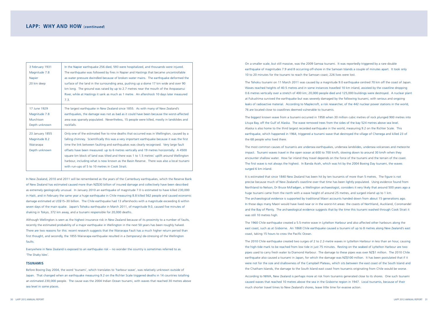On a smaller scale, but still massive, was the 2009 Samoa tsunami. It was reportedly triggered by a rare double earthquake of magnitudes 7.9 and 8 occurring off-shore in the Samoan Islands a couple of minutes apart. It took only 10 to 20 minutes for the tsunami to reach the Samoan coast; 226 lives were lost.

The Tohoku tsunami on 11 March 2011 was caused by a magnitude 9.0 earthquake centred 70 km off the coast of Japan. Waves reached heights of 40.5 metres and in some instances travelled 10 km inland, assisted by the coastline dropping 0.6 metres vertically over a stretch of 400 km; 20,000 people died and 125,000 buildings were destroyed. A nuclear plant at Fukushima survived the earthquake but was severely damaged by the following tsunami, with serious and ongoing leaks of radioactive material. According to Maplecroft, a risk researcher, of the 442 nuclear power stations in the world, 76 are located close to coastlines deemed vulnerable to tsunamis.

The biggest known wave from a tsunami occurred in 1958 when 30 million cubic metres of rock plunged 900 metres into Lituya Bay, off the Gulf of Alaska. The wave removed trees from the sides of the bay 524 metres above sea level. Alaska is also home to the third largest recorded earthquake in the world, measuring 9.2 on the Richter Scale. This earthquake, which happened in 1964, triggered a tsunami wave that destroyed the village of Chenega and killed 23 of the 68 people who lived there.

It is estimated that since 1840 New Zealand has been hit by ten tsunamis of more than 5 metres. The figure is not precise because much of New Zealand's coastline over that time has been lightly populated. Using evidence found from Northland to Nelson, Dr Bruce McFadgen, a Wellington archaeologist, considers it very likely that around 500 years ago a huge tsunami came from the north with a wave height of around 25 metres, and surged inland up to 1 km. The archaeological evidence is supported by traditional Maori accounts handed down from about 15 generations ago. In those days many Maori would have lived near or in the worst-hit areas: the coasts of Northland, Auckland, Coromandel and the Bay of Plenty. The archaeological evidence suggests that by the time this tsunami washed through Cook Strait it was still 10 metres high.

The most common causes of tsunamis are undersea earthquakes, undersea landslides, undersea volcanoes and meteorite impact. Tsunami waves travel in the open ocean at 600 to 700 km/h, slowing down to around 30 km/h when they encounter shallow water. How far inland they travel depends on the force of the tsunami and the terrain of the coast. The first wave is not always the highest. In Banda Aceh, which was hit by the 2004 Boxing Day tsunami, the waves surged 6 km inland.

The 1960 Chile earthquake created a 5.5-metre wave in Lyttelton Harbour and also affected other harbours along the east coast, such as at Gisborne. An 1868 Chile earthquake caused a tsunami of up to 8 metres along New Zealand's east coast, taking 15 hours to cross the Pacific Ocean.

The 2010 Chile earthquake created two surges of 2 to 2.2-metre waves in Lyttelton Harbour in less than an hour, causing the high-tide mark to be reached from low tide in just 75 minutes. Resting on the seabed of Lyttelton Harbour are two pipes used to carry fresh water to Diamond Harbour. The damage to these pipes was over NZ\$1 million. The 2010 Chile earthquake also caused a tsunami in Japan, for which the damage was NZ\$100 million. It has been postulated that if it were not for the size and shallowness of the Campbell Plateau, which sits between the east coast of the South Island and the Chatham Islands, the damage to the South Island east coast from tsunamis originating from Chile would be worse.

According to NIWA, New Zealand is perhaps more at risk from tsunamis generated close to its shores. One such tsunami caused waves that reached 10 metres above the sea in the Gisborne region in 1947. Local tsunamis, because of their much shorter travel times to New Zealand's shores, leave little time for evasive action.

| 3 February 1931<br>Magnitude 7.8<br>Napier<br>20 km deep       | In the Napier earthquake 256 died, 593 were hospitalized, and thousands were injured.<br>The earthquake was followed by fires in Napier and Hastings that became uncontrollable<br>as water pressure dwindled because of broken water mains. The earthquake deformed the<br>surface of the land in the surrounding area, pushing up a dome 17 km wide and over 90<br>km long. The ground was raised by up to 2.7 metres near the mouth of the Aropaoanui<br>River, while at Hastings it sank as much as 1 metre. An aftershock 10 days later measured<br>7.3.                                                                   |
|----------------------------------------------------------------|---------------------------------------------------------------------------------------------------------------------------------------------------------------------------------------------------------------------------------------------------------------------------------------------------------------------------------------------------------------------------------------------------------------------------------------------------------------------------------------------------------------------------------------------------------------------------------------------------------------------------------|
| 17 June 1929<br>Magnitude 7.8<br>Murchison<br>Depth unknown    | The largest earthquake in New Zealand since 1855. As with many of New Zealand's<br>earthquakes, the damage was not as bad as it could have been because the worst-affected<br>area was sparsely populated. Nevertheless, 15 people were killed, mostly in landslides and<br>rockfalls.                                                                                                                                                                                                                                                                                                                                          |
| 23 January 1855<br>Magnitude 8.2<br>Wairarapa<br>Depth unknown | Only one of the estimated five to nine deaths that occurred was in Wellington, caused by a<br>falling chimney. Scientifically this was a very important earthquake because it was the first<br>time the link between faulting and earthquakes was clearly recognised. Very large fault<br>offsets have been measured: up to 6 metres vertically and 19 metres horizontally. A 4500<br>square km block of land was tilted and there was 1 to 1.5 metres' uplift around Wellington<br>harbour, including what is now known as the Basin Reserve. There was also a local tsunami<br>with run-ups of 5 to 10 metres in Cook Strait. |

In New Zealand, 2010 and 2011 will be remembered as the years of the Canterbury earthquakes, which the Reserve Bank of New Zealand has estimated caused more than NZ\$30 billion of insured damage and collectively have been described as extremely geologically unusual. In January 2010 an earthquake of magnitude 7.0 is estimated to have killed 230,000 in Haiti, and in February the same year a huge earthquake in Chile measuring 8.8 killed 562 people and caused economic damage estimated at US\$15–30 billion. The Chile earthquake had 13 aftershocks with a magnitude exceeding 6 within seven days of the main quake. Japan's Tohoku earthquake in March 2011, of magnitude 9.0, caused five minutes of shaking in Tokyo, 372 km away, and a tsunami responsible for 20,000 deaths.

Although Wellington is seen as the highest insurance risk in New Zealand because of its proximity to a number of faults, recently the estimated probability of a major earthquake in Wellington in the next 50 years has been roughly halved. There are two reasons for this: recent research suggests that the Wairarapa Fault has a much higher return period than first thought, and secondly, the 1855 Wairarapa earthquake resulted in a (temporary) de-stressing of the Wellington faults.

Everywhere in New Zealand is exposed to an earthquake risk – no wonder the country is sometimes referred to as 'The Shaky Isles'.

### **TSUNAMIS**

Before Boxing Day 2004, the word 'tsunami', which translates to 'harbour wave', was relatively unknown outside of Japan. That changed when an earthquake measuring 9.2 on the Richter Scale triggered deaths in 14 countries totalling an estimated 230,000 people. The cause was the 2004 Indian Ocean tsunami, with waves that reached 30 metres above sea level in some places.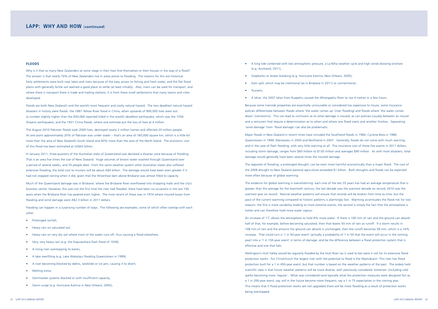Because some riverside properties are essentially uninsurable or considered too expensive to insure, some insurance policies differentiate between floods where 'the water comes up' (river flooding) and floods where 'the water comes down' (rainstorms). This can lead to confusion as to what damage is insured, as can policies (usually between an insurer and a reinsurer) that require a determination as to when and where one flood starts and another finishes. Separating 'wind damage' from 'flood damage' can also be problematic.

Major floods in New Zealand in recent times have included the Southland floods in 1984, Cyclone Bola in 1988, Queenstown in 1999, Manawatu in 2004 and Northland in 2007. Generally, floods do not come with much warning, and in the case of flash flooding, with very little warning at all. The insurance cost of these five events in 2011 dollars, including storm damage, ranges from \$60 million to \$130 million and averages \$90 million. As with most disasters, total damage would generally have been several times the insured damage.

The opposite of flooding, a prolonged drought, can be even more harmful economically than a major flood. The cost of the 2008 drought to New Zealand pastoral agriculture exceeded \$1 billion. Both droughts and floods can be expected more often because of global warming.

The evidence for global warming is overwhelming: each one of the last 35 years has had an average temperature that is greater than the average for the twentieth century; the last decade was the warmest decade on record; 2010 was the warmest year on record. Natural weather patterns will ensure that records will be broken from time to time, but the pace of the current warming compared to historic patterns is alarmingly fast. Warming accentuates the flood risk for two reasons: the first is more variability leading to more extreme events; the second is simply the fact that the atmosphere is hotter and can therefore hold more water vapour.

An increase of 1˚C allows the atmosphere to hold 8% more water. If there is 100 mm of rain and the ground can absorb half of that, for example, before becoming saturated, then that leaves 50 mm of rain as runoff. If a storm results in 108 mm of rain and the amount the ground can absorb is unchanged, then the runoff becomes 58 mm, which is a 16% increase. That could turn a '1 in 50-year event' (actually a probability of 1 in 50 that the event will occur in the coming year) into a '1 in 150-year event' in terms of damage, and be the difference between a flood protection system that is effective and one that fails.

- • Prolonged rainfall,
- Heavy rain on saturated soil.
- Heavy rain on very dry soil where most of the water runs off, thus causing a flood elsewhere,
- • Very, very heavy rain (e.g. the Kopuawhara flash flood of 1938),
- A rising river overtopping its banks,
- A lake overfilling (e.g. Lake Wakatipu flooding Queenstown in 1999),
- A river becoming blocked by debris, landslide or ice jam, causing it to divert,
- Melting snow,
- Stormwater systems blocked or with insufficient capacity,
- Storm surge (e.g. Hurricane Katrina in New Orleans, 2005),
- A king tide combined with low atmospheric pressure, a La Niña weather cycle and high winds blowing onshore (e.g. Auckland, 2011),
- Stopbanks or levees breaking (e.g. Hurricane Katrina, New Orleans, 2005),
- Dam spill, which may be intentional (as in Brisbane in 2011) or unintentional,
- • Tsunami,
- A lahar; the 2007 lahar from Ruapehu caused the Whangaehu River to rise 4 metres in a few hours.

Wellington's Hutt Valley would be regularly flooded by the Hutt River (as it used to be) were it not for its extensive flood protection works. For Christchurch the largest river with the potential to flood is the Waimakariri. This river has flood protection built for a 1 in 450-year event, but that number is based on the weather patterns of the past. The widely held scientific view is that future weather patterns will be more diverse, with previously considered 'extremes' (including cold spells) becoming more 'regular'. What was considered (and typically what the protection measures were designed for) as a 1 in 200-year event, say, will in the future become more frequent, say a 1 in 75 expectation in the coming year. This means that if flood protection works are not upgraded there will be more flooding as a result of protection works being overtopped.

### **FLOODS**

Why is it that so many New Zealanders at some stage in their lives find themselves or their houses in the way of a flood? The answer is that nearly 70% of New Zealanders live in areas prone to flooding. The reasons for this are historical. Early settlements were built near lakes and rivers because of the easy access to fishing and fresh water, and the flat flood plains with generally fertile soil seemed a good place to settle (at least initially). Also, rivers can be used for transport, and where there is transport there is trade and trading stations; it is from these small settlements that many towns and cities developed.

Floods are both New Zealand's and the world's most frequent and costly natural hazard. The two deadliest natural hazard disasters in history were floods: the 1887 Yellow River flood in China, when upwards of 900,000 lives were lost (a number slightly higher than the 830,000 reported killed in the world's deadliest earthquake, which was the 1556 Shaanxi earthquake), and the 1931 China floods, where one estimate put the loss of lives at 4 million.

The August 2010 Pakistan floods took 2000 lives, destroyed nearly 2 million homes and affected 20 million people. At one point approximately 20% of Pakistan was under water – that's an area of 160,000 square km, which is a little bit more than the area of New Zealand's South Island and 40% more than the area of the North Island. The economic cost of this flood has been estimated at US\$43 billion.

In January 2011, three-quarters of the Australian state of Queensland was declared a disaster zone because of flooding. That is an area five times the size of New Zealand. Huge volumes of brown water washed through Queensland over a period of several weeks, and 35 people died. From the same weather system other Australian states also suffered extensive flooding; the total cost to insurers will be about A\$4 billion. The damage would have been even greater if it had not stopped raining when it did, given that the Wivenhoe dam above Brisbane was almost filled to capacity.

Much of the Queensland damage was in Brisbane, where the Brisbane River overflowed into shopping malls and the city's business centre. However, this was not the first time the river had flooded: there have been six occasions in the last 150 years when the Brisbane River has peaked even higher. The most recent of these was in 1974 where insured losses from flooding and wind damage were A\$2.3 billion in 2011 dollars.

Flooding can happen in a surprising number of ways. The following are examples, some of which often overlap with each other: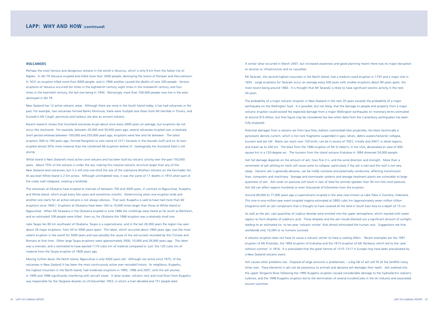A similar lahar occurred in March 2007, but increased awareness and good planning meant there was no major disruption to services or infrastructure and no casualties.

Mt Taranaki, the second highest mountain in the North Island, had a medium-sized eruption in 1755 and a major one in 1655. Large eruptions for Taranaki occur on average every 500 years with smaller eruptions about 90 years apart, the most recent being around 1860. It is thought that Mt Taranaki is likely to have significant seismic activity in the next 50 years.

The probability of a major volcanic eruption in New Zealand in the next 20 years exceeds the probability of a major earthquake on the Wellington fault. It is possible, but not likely, that the damage to people and property from a major volcanic eruption could exceed the expected damage from a major Wellington earthquake (in monetary terms estimated at around \$15 billion, but that figure may be considered too low when data from the Canterbury earthquakes has been fully analysed).

Potential damages from a volcano are from lava flow, ballistic (cannonball-like) projectiles, the blast (technically a pyroclastic density current, which is hot rock fragments suspended in gas), lahars, debris avalanche/sector collapse, tsunami and ash fall. Blasts can reach over 150 km/h, can be in excess of 700˚C initially and 200˚C in distal regions, and travel up to 200 km. The blast from the 1980 eruption of Mt St Helen's, in the USA, devastated an area of 600 square km in a 120-degree arc. The tsunami from the island volcano Krakatoa in 1884 drowned 34,000 people.

Ash fall damage depends on the amount of ash, how fine it is, and the wind direction and strength. More than a centimetre of ash settling on roofs will cause some to collapse, particularly if the ash is wet and the roof is not very steep. Volcanic ash is generally abrasive, can be mildly corrosive and potentially conductive, affecting transmission lines, computers and machinery. Sewage and stormwater systems and sewage treatment plants are vulnerable to large quantities of ash. Ash cover on pastures will result in lack of feed for animals (greater than 50 mm kills most pasture). Ash fall can affect regions hundreds or even thousands of kilometres from the eruption.

Around 69,000 to 77,000 years ago a supervolcano erupted in the area now known as Lake Toba in Sumatra, Indonesia. This one-in-one-million-year event erupted magma estimated at 2800 cubic km (approximately seven million trillion kilograms) with an ash component that is thought to have covered all the land in South East Asia to a depth of 15 cm.

As well as the ash, vast quantities of sulphur dioxide were emitted into the upper atmosphere, which reacted with water vapour to form droplets of sulphuric acid. These droplets and the ash clouds blocked out a significant amount of sunlight, leading to an estimated six- to ten-year 'volcanic winter' that almost eliminated the human race. Suggestions are that worldwide only 10,000 or so humans survived.

A volcanic eruption does not have to cause a volcanic winter to have a cooling effect. Recent examples are the 1991 eruption of Mt Pinatubo, the 1883 eruption of Krakatoa and the 1815 eruption of Mt Tambora, which led to the 'year without summer' in 1816. It is postulated that the great famine of 1315–1317 in Europe may have been precipitated by a New Zealand volcanic event.

Ash causes other problems too. Disposal of large amounts is problematic – a big fall of ash will fill all the landfills many times over. Trace elements in ash can be poisonous to animals and abrasive ash damages their teeth. Ash washed into the upper Tongariro River following the 1995 Ruapehu eruption caused considerable damage to the hydroelectric station's turbines, and the 1996 Ruapehu eruption led to the termination of several hundred jobs in the ski industry and associated tourism activities.

### **VOLCANOES**

Perhaps the most famous and dangerous volcano in the world is Vesuvius, which is only 9 km from the Italian city of Naples. In AD 79 Vesuvius erupted and killed more than 3500 people, destroying the towns of Pompeii and Herculaneum. In 1631 an eruption killed more than 4000 people, and in 1906 another caused the deaths of over 200 people. Serious eruptions of Vesuvius occurred ten times in the eighteenth century, eight times in the nineteenth century, and four times in the twentieth century, the last one being in 1944. Worryingly, more than 700,000 people now live in the area destroyed in AD 79.

New Zealand has 12 active volcanic areas. Although there are none in the South Island today, it has had volcanoes in the past. For example, two volcanoes formed Banks Peninsula, there were multiple lava flows from Mt Horrible in Timaru, and Dunedin's Mt Cargill, peninsula and harbour are also an ancient volcano.

Recent research shows that Auckland volcanoes erupt about once every 2600 years on average, but eruptions do not occur like clockwork. For example, between 20,000 and 30,000 years ago, several volcanoes erupted over a relatively short period whereas between 100,000 and 250,000 years ago, eruptions were few and far between. The latest eruption, 600 to 700 years ago, formed Rangitoto (a new island of 2311 hectares in the Hauraki Gulf) and on its own erupted almost 50% more material than the combined 48 eruptions before it! Geologically the Auckland field is still young.

White Island is New Zealand's most active cone volcano and has been built by volcanic activity over the past 150,000 years. About 70% of the volcano is under the sea, making this massive volcanic structure larger than any of the New Zealand land volcanoes, but it is still only one-third the size of the submarine Brothers Volcano on the Kermadec Arc. At sea level White Island is 2 km across. Although uninhabited now, it was the scene of 11 deaths in 1914 when part of the crater wall collapsed, creating a landslide.

The volcanoes at Okataina have erupted at intervals of between 700 and 3000 years, in contrast to Ngauruhoe, Ruapehu and White Island, which erupt every few years and sometimes months. (Determining when one eruption ends and another one starts for an active volcano is not always obvious. That said, Ruapehu is said to have had more than 60 eruptions since 1945.) Eruptions at Okataina have been 100 to 10,000 times larger than those at White Island or Ngauruhoe. When Mt Tarawera in the Okataina erupted in June 1886 the rumblings were heard as far south as Blenheim, and an estimated 108 people were killed. Even so, for Okataina the 1886 eruption was a relatively small one.

Lake Taupo lies 80 km southwest of Okataina. Taupo is a supervolcano, and in the last 26,000 years the region has seen about 28 major eruptions, from 50 to 5000 years apart. The latest, which occurred about 1800 years ago, was the most violent eruption in the world for 5000 years and was possibly the cause of the red sunsets recorded by the Chinese and Romans at that time. Other large Taupo eruptions were approximately 3500, 10,000 and 26,000 years ago. The latter was a monster, and is estimated to have ejected 1170 cubic km of material compared to 'just' the 120 cubic km of material from the Taupo eruption of 1800 years ago.

Moving further down the North Island, Ngauruhoe is only 4500 years old. Although not active since 1975, of the volcanoes in New Zealand it has been the most continuously active over recorded history. Its neighbour, Ruapehu, the highest mountain in the North Island, had moderate eruptions in 1995, 1996 and 2007, with the ash plumes in 1995 and 1996 significantly interfering with aircraft travel. A lahar (water, volcanic rock and mud flow) from Ruapehu was responsible for the Tangiwai disaster on 24 December 1953, in which a train derailed and 151 people died.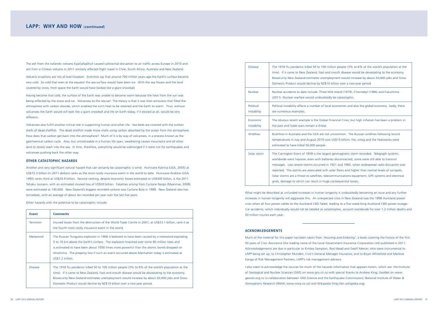| <b>Disease</b>           | The 1918 flu pandemic killed 50 to 100 million people (3% to 6% of the world's population at<br>time). If it came to New Zealand, foot and mouth disease would be devastating to the econor<br>Biosecurity New Zealand estimates unemployment would increase by about 20,000 jobs and G<br>Domestic Product would decline by NZ\$10 billion over a two-year period.                                                                                                                                                                                           |
|--------------------------|---------------------------------------------------------------------------------------------------------------------------------------------------------------------------------------------------------------------------------------------------------------------------------------------------------------------------------------------------------------------------------------------------------------------------------------------------------------------------------------------------------------------------------------------------------------|
| <b>Nuclear</b>           | Nuclear accidents to date include: Three Mile Island (1979), Chernobyl (1986) and Fukushima<br>(2011). Nuclear warfare would undoubtedly be catastrophic.                                                                                                                                                                                                                                                                                                                                                                                                     |
| Political<br>instability | Political instability affects a number of local economies and also the global economy. Sadly, the<br>are numerous examples.                                                                                                                                                                                                                                                                                                                                                                                                                                   |
| Economic<br>instability  | The obvious recent example is the Global Financial Crisis, but high inflation has been a problen<br>the past and trade wars remain a threat.                                                                                                                                                                                                                                                                                                                                                                                                                  |
| Wildfires                | Bushfires in Australia and the USA are not uncommon. The Russian wildfires following record<br>temperatures in July and August 2010 cost US\$15 billion; fire, smog and the heatwaves were<br>estimated to have killed 56,000 people.                                                                                                                                                                                                                                                                                                                         |
| Solar storm              | The Carrington Event of 1859 is the largest geomagnetic storm recorded. Telegraph systems<br>worldwide went haywire; even with batteries disconnected, some were still able to transmit<br>messages. Less severe storms occurred in 1921 and 1960, when widespread radio disruption v<br>reported. The storms are associated with solar flares and higher than normal levels of sunspot<br>Solar storms are a threat to satellites, telecommunications equipment, GPS systems and electric<br>grids, damage to which can result in huge consequential losses. |

What might be described as unfunded increases in human longevity is undoubtedly becoming an issue and any further increases in human longevity will aggravate this. An unexpected crisis in New Zealand was the 1998 Auckland power crisis when all four power cables to the Auckland CBD failed, leading to a five-week-long Auckland CBD power outage. Car accidents, which individually would not be labeled as catastrophes, account worldwide for over 1.2 million deaths and 50 million injuries each year.

### **ACKNOWLEDGEMENTS**

Much of the material for this paper has been taken from *'Assuring and Enduring'*, a book covering the history of the first 50 years of Civic Assurance (the trading name of the Local Government Insurance Corporation Ltd) published in 2011. Acknowledgements are due in particular to Kinsley Sampson, Rod Mead and Geoff Mercer, who were instrumental to LAPP being set up, to Christopher Munden, Civic's General Manager Insurance, and to Bryan Whitefield and Marlene Kanga of Risk Management Partners, LAPP's risk management advisors.

I also need to acknowledge the sources for much of the hazards information that appears herein, which are: the Institute of Geological and Nuclear Sciences (GNS) on www.gns.cri.nz with special thanks to Andrew King; GeoNet on www. geonet.org.nz (a collaboration between GNS Science and the Earthquake Commission); National Institute of Water & Atmospheric Research (NIWA; www.niwa.co.nz) and Wikipedia (http://en.wikipedia.org).

Disease The 1918 flu pandemic killed 50 to 100 million people (3% to 6% of the world's population at the mouth disease would be devastating to the economy. byment would increase by about 20,000 jobs and Gross billion over a two-year period.

economies and also the global economy. Sadly, there

nancial Crisis, but high inflation has been a problem in

es disconnected, some were still able to transmit 921 and 1960, when widespread radio disruption was plar flares and higher than normal levels of sunspots. Immunications equipment, GPS systems and electrical consequential losses.

The ash from the Icelandic volcano Eyjafjallajökull caused substantial disruption to air traffic across Europe in 2010 and ash from a Chilean volcano in 2011 similarly affected flight travel in Chile, South Africa, Australia and New Zealand.

Volcanic eruptions are not all bad however. Scientists say that around 700 million years ago the Earth's surface became very cold. So cold that even at the equator the sea surface would have been ice. With the sea frozen and the land covered by snow, from space the Earth would have looked like a giant snowball.

Having become that cold, the surface of the Earth was unable to become warm because the heat from the sun was being reflected by the snow and ice. Volcanoes to the rescue! The theory is that it was their emissions that filled the atmosphere with carbon dioxide, which enabled the sun's heat to be retained and the Earth to warm. Thus, without volcanoes the Earth would still look like a giant snowball and life on Earth today, if it existed at all, would be very different.

Volcanoes also fulfill another critical role in supporting human and other life. Sea beds are covered with the sunken shells of dead shellfish. The dead shellfish made those shells using carbon absorbed by the ocean from the atmosphere. How does that carbon get back into the atmosphere? Much of it is by way of volcanoes, in a process known as the geochemical carbon cycle. Also, but unnoticeable in a human life span, weathering causes mountains and all other land to slowly wash into the sea. In time, therefore, everything would be submerged if it were not for earthquakes and volcanoes pushing back the other way.

### **OTHER CATASTOPHIC HAZARDS**

Another and very significant natural hazard that can certainly be catastrophic is wind. Hurricane Katrina (USA, 2005) at US\$72.3 billion (in 2011 dollars) ranks as the most costly insurance event in the world to date. Hurricane Andrew (USA, 1992) ranks third at US\$24.9 billion. Second ranking, despite economic losses estimated at US\$300 billion, is the 2011 Tohoku tsunami, with an estimated insured loss of US\$30 billion. Fatalities arising from Cyclone Nargis (Myanmar, 2008) were estimated at 140,000. New Zealand's biggest recorded cyclone was Cyclone Bola in 1988. New Zealand also has tornadoes, with an average of about ten recorded per year over the last five years.

Other hazards with the potential to be catastrophic include:

| <b>Event</b>     | <b>Comments</b>                                                                                                                                                                                                                                                                                                                                                                                                |
|------------------|----------------------------------------------------------------------------------------------------------------------------------------------------------------------------------------------------------------------------------------------------------------------------------------------------------------------------------------------------------------------------------------------------------------|
| <b>Terrorism</b> | Insured losses from the destruction of the World Trade Centre in 2001, at US\$23.1 billion, rank it as<br>the fourth most costly insurance event in the world.                                                                                                                                                                                                                                                 |
| Meteoroid        | The Russian Tunguska explosion in 1908 is believed to have been caused by a meteoroid exploding<br>5 to 10 km above the Earth's surface. The explosion knocked over some 80 million trees and<br>is estimated to have been about 1000 times more powerful than the atomic bomb dropped on<br>Hiroshima. The property loss if such an event occurred above Manhattan today is estimated at<br>US\$1.2 trillion. |
| <b>Disease</b>   | The 1918 flu pandemic killed 50 to 100 million people (3% to 6% of the world's population at the<br>time). If it came to New Zealand, foot and mouth disease would be devastating to the economy.<br>Biosecurity New Zealand estimates unemployment would increase by about 20,000 jobs and Gross<br>Domestic Product would decline by NZ\$10 billion over a two-year period.                                  |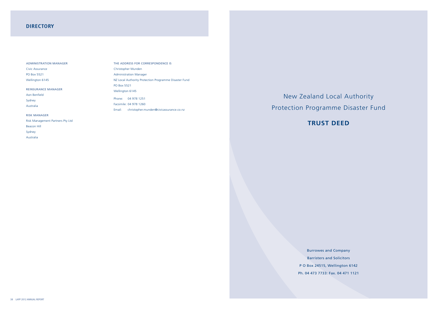New Zealand Local Authority Protection Programme Disaster Fund

**TRUST DEED**

Burrowes and Company Barristers and Solicitors P O Box 24515, Wellington 6142 Ph. 04 473 7733: Fax. 04 471 1121

# **DIRECTORY**

### Administration Manager

Civic Assurance PO Box 5521 Wellington 6145

### Reinsurance Manager

Aon Benfield Sydney Australia

### Risk Manager

Risk Management Partners Pty Ltd Beacon Hill Sydney Australia

The Address for Correspondence is Christopher Munden Administration Manager NZ Local Authority Protection Programme Disaster Fund PO Box 5521 Wellington 6145 Phone: 04 978 1251 Facsimile: 04 978 1260 Email: christopher.munden@civicassurance.co.nz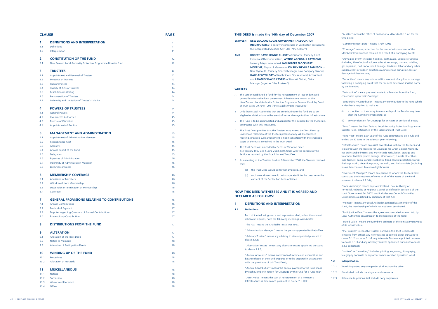| <b>CLAUSE</b> |                                                                          | <b>PAGE</b> | THIS DEED is made the 14th day of December 2007                                                                                               |
|---------------|--------------------------------------------------------------------------|-------------|-----------------------------------------------------------------------------------------------------------------------------------------------|
| 1.            | <b>DEFINITIONS AND INTERPRETATION</b>                                    | 41          | <b>NEW ZEALAND LOCAL GOVERNMENT ASSOCIATION</b><br><b>BETWEEN</b>                                                                             |
| 1.1           | Definitions                                                              | 41          | <b>INCORPORATED</b> , a society incorporated in Wellington pursuant to                                                                        |
| 1.2           | Interpretation                                                           | 41          | the Incorporated Societies Act 1908 ("the Settlor")                                                                                           |
|               |                                                                          |             | <b>AND</b><br><b>ROBERT DAVID RENNIE ELLIOTT</b> of Gisborne, formerly Chief                                                                  |
| 2             | <b>CONSTITUTION OF THE FUND</b>                                          | 42          | Executive Officer now retired, WYNNE ARCHDALL RAYMOND,                                                                                        |
| 2.1           | New Zealand Local Authority Protection Programme Disaster Fund           | 42          | formerly Mayor now retired, IAN ROBERT FLOCKHART                                                                                              |
|               |                                                                          |             | MCKELVIE, Mayor of Manawatu, KINSLEY NEVILLE SAMPSON of                                                                                       |
| 3             | <b>TRUSTEES</b>                                                          | 42          | New Plymouth, formerly General Manager now Company Director,<br><b>DALE ALWYN LOTT</b> of North Shore City, Auckland, Accountant,             |
| 3.1<br>3.2    | Appointment and Removal of Trustees<br><b>Meetings of Trustees</b>       | 42<br>43    | and LANGLEY DAVID CAVERS of Hauraki District, District                                                                                        |
| 3.3           | Subcommittees                                                            | 44          | Manager (together "the Trustees")                                                                                                             |
| 3.4           | Validity of Acts of Trustees                                             | 44          | <b>WHEREAS</b>                                                                                                                                |
| 3.5           | <b>Resolutions in Writing</b>                                            | 44          |                                                                                                                                               |
| 3.6           | Remuneration of Trustees                                                 | 44          | A The Settlor established a fund for the reinstatement of lost or damaged                                                                     |
| 3.7           | Indemnity and Limitation of Trustee's Liability                          | 44          | generally uninsurable local government infrastructure known as the<br>New Zealand Local Authority Protection Programme Disaster Fund, by Deed |
|               |                                                                          |             | of Trust dated 29 June 1993 ("the Establishment Trust Deed")                                                                                  |
| 4             | <b>POWERS OF TRUSTEES</b>                                                | 44          | Only those Local Authorities that are contributing to the fund are to be<br>B                                                                 |
| 4.1           | <b>General Powers</b>                                                    | 44<br>45    | eligible for distributions in the event of loss or damage to their infrastructure.                                                            |
| 4.2<br>4.3    | <b>Investments Authorised</b><br><b>Exercise of Discretion</b>           | 45          | C The Fund is to be accumulated and applied for the purpose by the Trustees in                                                                |
| 4.4           | Appointment of Auditor                                                   | 45          | accordance with this Trust Deed                                                                                                               |
|               |                                                                          |             | D The Trust Deed provides that the Trustees may amend the Trust Deed by                                                                       |
| 5             | <b>MANAGEMENT AND ADMINISTRATION</b>                                     | 45          | unanimous resolution of the Trustees present at any validly convened                                                                          |
| 5.1           | Appointment of Administration Manager                                    | 45          | meeting, provided such amendment is not inconsistent with the charitable                                                                      |
| 5.2           | Records to be Kept                                                       | 45          | scope of the trusts contained in the Trust Deed.                                                                                              |
| 5.3           | Accounts                                                                 | 45          | E The Trust Deed was amended by Deeds of Variation dated                                                                                      |
| 5.4           | Annual Report of the Fund                                                | 45          | 14 February 1997 and 5 June 2003, both times with the consent of the                                                                          |
| 5.5           | Delegation                                                               | 45          | Settlor as required by the Establishment Trust Deed.                                                                                          |
| 5.6<br>5.7    | <b>Expenses of Administration</b><br>Indemnity of Administration Manager | 46<br>46    | At a meeting of the Trustees held on 9 November 2007 the Trustees resolved<br>F.                                                              |
| 5.8           | <b>Execution of Deeds</b>                                                | 46          | that:                                                                                                                                         |
|               |                                                                          |             | the Trust Deed would be further amended, and<br>(a)                                                                                           |
| 6             | <b>MEMBERSHIP COVERAGE</b>                                               | 46          | (b) such amendments would be incorporated into this deed once the                                                                             |
| 6.1           | <b>Admission of Members</b>                                              | 46          | consent of the Settlor had been obtained.                                                                                                     |
| 6.2           | Withdrawal from Membership                                               | 46          |                                                                                                                                               |
| 6.3           | Suspension or Termination of Membership                                  | 46          |                                                                                                                                               |
| 6.4           | Coverage                                                                 | 46          | <b>NOW THIS DEED WITNESSES AND IT IS AGREED AND</b>                                                                                           |
| 7             | <b>GENERAL PROVISIONS RELATING TO CONTRIBUTIONS</b>                      | 46          | <b>DECLARED AS FOLLOWS:</b>                                                                                                                   |
| 7.1           | <b>Annual Contributions</b>                                              | 46          | -1<br><b>DEFINITIONS AND INTERPRETATION</b>                                                                                                   |
| 7.2           | Method of Payment                                                        | 47          |                                                                                                                                               |
| 7.3           | Disputes regarding Quantum of Annual Contributions                       | 47          | <b>Definitions</b><br>1.1                                                                                                                     |
| 7.4           | <b>Extraordinary Contributions</b>                                       | 47          | Each of the following words and expressions shall, unless the context                                                                         |
|               |                                                                          |             | otherwise requires, have the following meanings, as indicated:                                                                                |
| 8             | <b>DISTRIBUTIONS FROM THE FUND</b>                                       | 47          | "the Act" means the Charitable Trusts Act 1957;                                                                                               |
| 9             | <b>ALTERATION</b>                                                        |             | "Administration Manager" means the person appointed to that office;                                                                           |
| 9.1           | Alteration of the Trust Deed                                             | 47<br>47    | "Advisory Trustee" means any advisory trustee appointed pursuant to                                                                           |
| 9.2           | Notice to Members                                                        | 48          | clause 3.1.8;                                                                                                                                 |
| 9.3           | Alteration of Participation Deeds                                        | 48          | "Alternative Trustee" means any alternate trustee appointed pursuant                                                                          |
|               |                                                                          |             | to clause $3.1.3$ ;                                                                                                                           |
| 10            | <b>WINDING UP OF THE FUND</b>                                            | 48          | "Annual Accounts" means statements of income and expenditure and                                                                              |
| 10.1          | Procedures                                                               | 48          | balance sheets of the Fund prepared or to be prepared in accordance                                                                           |
| 10.2          | <b>Allocation of Proceeds</b>                                            | 48          | with the provisions of this Trust Deed;                                                                                                       |
|               |                                                                          |             | "Annual Contribution" means the annual payment to the Fund made                                                                               |
| 11<br>11.1    | <b>MISCELLANEOUS</b>                                                     | 48<br>48    | by each Member in return for Coverage by the Fund for a Fund Year;                                                                            |
| 11.2          | <b>Notices</b><br>Succession                                             | 48          | "Asset Value" means the cost of reinstatement of a Member's                                                                                   |
| 11.3          | <b>Waiver and Precedent</b>                                              | 48          | Infrastructure as determined pursuant to clause 7.1.1(a);                                                                                     |
| 11.4          | Office                                                                   | 48          |                                                                                                                                               |

"Auditor" means the office of auditor or auditors to the Fund for the time being;

"Commencement Date" means 1 July 1993;

"Coverage" means protection for the cost of reinstatement of the Members' Infrastructure required as a result of a Damaging Event;

"Damaging Event" includes flooding, earthquake, volcanic eruptions (including the effects of volcanic ash), storm surge, tsunami, wildfire, gas explosion, hail, snow, wind damage, landslide, lahar and any other sudden event or sudden situation causing serious disruption, loss or damage to Infrastructure;

"Deductible" means any uninsured first amount of any loss or damage following a Damaging Event that the Trustees determine shall be borne by the Member;

"Distribution" means payment, made to a Member from the Fund, consequent upon their Coverage;

"Extraordinary Contribution" means any contribution to the Fund which a Member is required to make as:

- (i) a condition of their entry to membership of the Fund at any time after the Commencement Date; or
- (ii) any contribution for Coverage for any part or portion of a year;

"Fund" means the New Zealand Local Authority Protection Programme Disaster Fund, established by the Establishment Trust Deed;

"Fund Year" means each year of the Fund commencing on 1 July and ending on 30 June in the calendar year following;

"Infrastructure" means any asset accepted as such by the Trustees and registered with the Trustees for Coverage for which a Local Authority has an insurable interest and may include reticulation, storage and treatment facilities (water, sewage, stormwater); tunnels other than road tunnels; dams; canals; stopbanks; flood control protection works; drainage works; detention ponds; sea walls; and harbour risks (including buoys, beacons and foreshore lighthouses).

"Investment Manager" means any person to whom the Trustees have contracted the investment of some or all of the assets of the Fund pursuant to clause 4.1.1(b);

"Local Authority" means any New Zealand Local Authority or Territorial Authority or Regional Council as defined in section 5 of the Local Government Act 2002, and includes any Council-Controlled Organisation as defined by section 6 of that Act.

"Member" means any Local Authority admitted as a member of the Fund, the membership of which has not been terminated.

"Participation Deed" means the agreements so called entered into by Local Authorities on admission to membership of the Fund;

"Stated Value" means the Member's estimate of the reinstatement value of its Infrastructure.

"the Trustees" means the trustees named in this Trust Deed (until removed from office), any new trustees appointed either pursuant to clause 3.1.2 or clause 3.1.6, any Alternate Trustees appointed pursuant to clause 3.1.3 and any Advisory Trustees appointed pursuant to clause 3.1.8 collectively.

"written" or "in writing" includes printing, engraving, lithography, telegraphy, facsimile or any other communication by written word.

### **1.2 Interpretation**

- 1.2.1 Words importing any one gender shall include the other.
- 1.2.2 Plurals shall include the singular and vice versa.
- 1.2.3 Reference to persons shall include body corporates.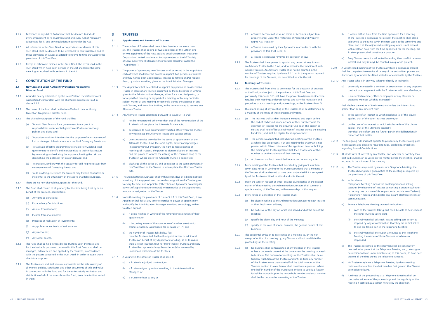- (d) a Trustee becomes of unsound mind; or becomes subject to a property order under the Protection of Personal and Property Rights Act, 1988; or
- (e) a Trustee is removed by their Appointor in accordance with the provisions of this Trust Deed; or
- (f) a Trustee is otherwise removed by operation of law.
- 3.1.8 The Trustees shall have power to appoint any person at any time as an Advisory Trustee to the Fund, and to prescribe the function of such Advisory Trustee. An Advisory Trustee shall not be counted in the number of Trustees required by clause 3.1.1, or in the quorum required for meetings of the Trustees, nor be entitled to vote thereat.

### **3.2 Meetings of Trustees**

- 3.2.1 The Trustees shall from time to time meet for the despatch of business of the Fund, and subject to the provisions of this Trust Deed and particularly this clause 3.2 shall have the power to adjourn or otherwise regulate their meetings and proceedings, and vary the regulation and procedure of such meetings and proceedings, as the Trustees think fit.
- 3.2.2 Questions arising at any meeting of the Trustees shall be determined by a majority of the votes of those present and voting.
- 3.2.3 (a) The Trustees shall at their inaugural meeting and again before the end of each Fund Year elect one of their number to be the chairman of Trustees for the ensuing Fund Year. The person so elected shall hold office as chairman of Trustees during the ensuing Fund Year, and shall be eligible for re-appointment.
	- (b) The person so appointed shall chair all meetings of the Trustees at which they are present. If at any meeting the chairman is not present within fifteen minutes of the appointed time for holding the meeting the Trustees present shall then choose one of their number to be the chairman of that meeting.
	- (c) A chairman shall not be entitled to a second or casting vote.
- 3.2.4 Every meeting of the Trustees shall be called by giving not less than seven days notice in writing to the Trustees provided that a meeting of the Trustees shall be deemed to have been duly called if it is so agreed by all the Trustees entitled to attend and vote thereat.
- 3.2.5 Upon the written request of three Trustees giving notice of the subject matter of that meeting, the Administration Manager shall summon a special meeting of the Trustees, within seven days of that request.
- 3.2.6 Every notice of a meeting of the Trustees shall;
	- (a) be given in writing by the Administration Manager to each Trustee at their last known address;
	- (b) be exclusive of the day on which it is served and of the day of the meeting;
	- (c) specify the place, day and hour of the meeting;
	- (d) specify, in the case of special business, the general nature of that business.
- 3.2.7 The accidental omission to give notice of a meeting to, or the non receipt of notice of a meeting by, any Trustee shall not invalidate the proceedings at the meeting.
- 3.2.8 (a) No business shall be transacted at any meeting of the Trustees unless a quorum is present at the time when the meeting proceeds to business. The quorum for meetings of the Trustees shall be as fixed by resolution of the Trustees and until so fixed any number of the Trustees more than one-half of the total number of the Trustees entitled to vote thereat shall constitute a quorum. Where one-half in number of the Trustees so entitled to vote is a fraction it shall be rounded-up to the next whole number and such number shall be the quorum for a meeting of the Trustees.
- $(c)$  in the case of an interest to which subclause (a) of this clause applies, that of the other Trustees present; or
- (d) on the case of an interest to which subclause (b) of this clause applies, that of the Members generally, they shall thereafter take no further part in the deliberations in respect of that matter.
- 3.2.11 The foregoing rule shall not operate to prevent any Trustee taking part in discussions and decisions regarding rules, guidelines, or policies regarding Annual Contributions.
- 3.2.12 All disclosures of interest by any Trustee, and whether or not they took part in discussion on or voted on the matter before the meeting, shall be recorded in the minutes of the meeting.
- 3.2.13 (a) The Trustees may meet by means of a Telephone Meeting, the Trustees having been given notice of the meeting as required by the provisions of this Trust Deed.
	- (b) In this clause: "Telephone Meeting" means the contemporaneous linking together by telephone of Trustees comprising a quorum (whether or not any one or more of those persons is outside New Zealand); "Telephone" means and indicates any instant electronic means of communication.
	- (c) Before a Telephone Meeting proceeds to business:
		- (i) each of the Trustees taking part must be able to hear each of the other Trustees taking part;
		- (ii) the chairman shall ask each Trustee taking part in turn to respond by way of confirmation that they are in fact linked to and are taking part in the Telephone Meeting;
		- (iii) the chairman shall thereupon announce to the Telephone Meeting the names of those Trustees who have so responded.
	- (d) The Trustees so named by the chairman shall be conclusively deemed to be present at the Telephone Meeting and, unless given permission to leave under subclause (e) of this clause, to have been present all the time during the Telephone Meeting.
	- (e) No Trustee may leave a Telephone Meeting by disconnecting their telephone unless the chairman has first granted that Trustee permission to leave.
	- (f) A minute of the proceedings at a Telephone Meeting shall be conclusive evidence of the proceedings and the regularity of the meeting if certified as a correct minute by the chairman.
- (b) If within half an hour from the time appointed for a meeting of the Trustees a quorum is not present the meeting shall stand adjourned to the same day in the next week at the same time and place, and if at the adjourned meeting a quorum is not present within half an hour from the time appointed for the meeting, the Trustees present shall constitute a quorum.
- (c) Every Trustee present shall, notwithstanding their conflict between interest and duty (if any), be counted in a quorum present.
- 3.2.9 A validly called meeting of the Trustees at which a quorum is present shall be competent to exercise all or any of the authorities, powers and discretions by or under this Deed vested in or exercisable by the Trustees.
- 3.2.10 Any Trustee who is in any way, whether directly or indirectly;
	- (a) personally interested in a contract or arrangement or any proposed contract or arrangement with the Trustees or with any Member; or
	- (b) is an elected member, office or employee of any Member or proposed Member which is interested –

shall declare the nature of the interest and unless the interest is no greater than or any different from –

- 1.2.4 Reference to any Act of Parliament shall be deemed to include every amendment or re-enactment of it and every Act of Parliament substituted for it, and any regulations made under the Act.
- 1.2.5 All references in this Trust Deed, or to provisions or clauses of this Trust Deed, shall be deemed to be references to this Trust Deed and to those provisions or clauses as altered from time to time pursuant to the provisions of this Trust Deed.
- 1.2.6 Except as otherwise defined in this Trust Deed, the terms used in this Trust Deed which have been defined in the Act shall have the same meaning as ascribed to those terms in the Act.

### **2 CONSTITUTION OF THE FUND**

- **2.1 New Zealand Local Authority Protection Programme Disaster Fund**
- 2.1.1 A fund is hereby established by the New Zealand Local Government Association Incorporated, with the charitable purposes set out in clause 2.1.3.
- 2.1.2 The name of the fund shall be the New Zealand Local Authority Protection Programme Disaster Fund.
- 2.1.3 The charitable purposes of the Fund shall be:
	- (a) To assist New Zealand local government to carry out its responsibilities under central government's disaster recovery policies and plans; and
	- (b) To provide funds for Members for the purpose of reinstatement of lost or damaged Infrastructure as a result of Damaging Events; and
	- (c) To facilitate effective programmes to enable New Zealand local government to identify and manage risks to their Infrastructure by minimising and reducing the exposure, limiting the risks and diminishing the potential for loss or damage; and
	- (d) To provide Members with the capacity for self-help to recover from consequences of Damaging Events; and
	- (e) To do anything else which the Trustees may think is conducive or incidental to the attainment of the above charitable purposes.
- 2.1.4 There are no non-charitable purposes for the Fund.
- 2.1.5 The Fund shall consist of all property for the time being held by or on behalf of the Trustees, derived from:
	- (a) Any gifts or donations;
	- (b) Extraordinary Contributions;
	- (c) Annual Contributions;
	- (d) Income from investments;
	- (e) Proceeds of realisation of investments;
	- (f) Any policies or contracts of re-insurance;
	- (g) Any recoveries;
	- (h) Any other source.
- 2.1.6 The Fund shall be held in trust by the Trustees upon the trusts and for the charitable purposes contained in this Trust Deed and shall be managed, administered and applied by the Trustees, in accordance with the powers contained in this Trust Deed, in order to attain those charitable purposes.
- 2.1.7 The Trustees are and shall remain responsible for the safe custody of all money, policies, certificates and other documents of title and value in connection with the Fund and for the safe custody, realisation and distribution of all of the assets from the Fund, from time to time vested in them.

### **3 TRUSTEES**

### **3.1 Appointment and Removal of Trustees**

- 3.1.1 The number of Trustees shall be not less than four nor more than six. The Trustees shall be one or two appointees of the Settlor; one or two appointees of the New Zealand Local Government Insurance Corporation Limited; and one or two appointees of the NZ Society of Local Government Managers Incorporated (together called the "Appointors").
- 3.1.2 The power of appointing new Trustees shall be vested in the Appointors each of which shall have the power to appoint two persons as Trustees and they having been appointed as Trustees to remove and/or replace them, by notice in writing given to the Administration Manager.
- 3.1.3 The Appointors shall be entitled to appoint any person as an Alternative Trustee in place of any Trustee appointed by them, by notice in writing given to the Administration Manager, either for a specified period, or for a specified meeting or any part of a meeting, or for any particular subject matter at any meeting, or generally during the absence of any such Trustee, and from time to time, in the same manner, to remove any Alternate Trustee.
- 3.1.4 An Alternate Trustee appointed pursuant to clause 3.1.3 shall:
	- (a) not be remunerated otherwise than out of the remuneration of the Trustee in whose place the Alternate Trustee acts;
	- (b) be deemed to have automatically vacated office when the Trustee in whose place the Alternate Trustee acts vacates office;
	- (c) unless otherwise provided by the terms of appointment of the Alternate Trustee, have the same rights, powers and privileges (including without limitation, the right to receive notice of meetings of Trustees, the power to sign resolutions of Trustees and the power to witness the affixing of the common seal) as the Trustee in whose place the Alternate Trustee is appointed;
	- (d) discharge all the duties of, and be subject to the same provisions in this Trust Deed as the Trustee in whose place the Alternate Trustee acts.
- 3.1.5 The Administration Manager shall within seven days of it being notified in writing of the appointment, removal or resignation of a Trustee give to every Member and Appointor (other than an Appointor exercising its powers of appointment or removal) written notice of the appointment removal or resignation of the Trustee.
- 3.1.6 Notwithstanding the provisions of clause 3.1.2 of this Trust Deed, if any Appointor shall fail at any time to exercise its power of appointment and notify the Administration Manager in writing accordingly, within fourteen days of:
	- (a) it being notified in writing of the removal or resignation of their appointee; or
	- (b) it becoming aware of the occurrence of another event which creates a vacancy (as provided for in clause 3.1.7); and
	- (c) the number of Trustees falls below four then the Trustees shall forthwith appoint further or additional Trustees on behalf of any Appointors so failing, so as to ensure there are not less than four nor more than six Trustees and every Trustee then appointed may thereafter only be removed by unanimous resolution of the Trustees.
- 3.1.7 A vacancy in the office of Trustee shall arise if:
	- (a) a Trustee is adjudged bankrupt; or
	- (b) a Trustee resigns by notice in writing to the Administration Manager; or
	- (c) a Trustee refuses to act; or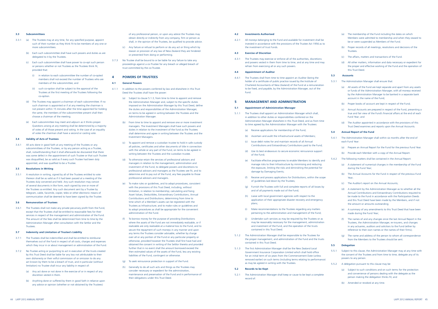### **4.2 Investments Authorised**

4.2.1 All moneys belonging to the Fund and available for investment shall be invested in accordance with the provisions of the Trustee Act 1956 as to the investment of trust funds.

### **4.3 Exercise of Discretion**

4.3.1 The Trustees may exercise or enforce all of the authorities, discretions and powers vested in them from time to time, and at any time and may refrain from exercising all or any such powers.

### **4.4 Appointment of Auditor**

4.4.1 The Trustees shall from time to time appoint an Auditor (being the holder of a certificate of public practice issued by the Institute of Chartered Accountants of New Zealand) of the Fund at a remuneration to be fixed, and payable, by the Administration Manager, out of the Fund.

### **5 MANAGEMENT AND ADMINISTRATION**

### **5.1 Appointment of Administration Manager**

- 5.1.1 The Trustees shall appoint an Administration Manager which shall, in addition to other duties or responsibilities conferred on the Administration Manager elsewhere in this Trust Deed, and as from time to time agreed by the Administration Manager with the Trustees:
	- (a) Receive applications for membership of the Fund;
	- (b) Ascertain and audit the infrastructural assets of Members;
	- (c) Issue debit notes for and maintain records of all Annual Contributions and Extraordinary Contributions paid to the Fund;
	- (d) Use its best endeavours to secure economic reinsurance support of the Fund;
	- (e) Facilitate effective programmes to enable Members to identify and manage risks to their Infrastructure by minimising and reducing the exposure, limiting the risks and diminishing the potential for damage by Damaging Events;
	- (f) Receive and process applications for Distributions, within the scope of guidelines laid down by the Trustees;
	- (g) Furnish the Trustees with full and complete reports of all losses by and of all payments made out of the Fund;
	- (h) Liaise with local government agencies with respect to the application of their appropriate disaster recovery and emergency plans;
	- (i) Make recommendations to the Trustees regarding any matters pertaining to the administration and management of the Fund;
	- (j) Undertake such services as may be required by the Trustees or as may be reasonably necessary for the management, administration and investment of the Fund, and the operation of the trusts contained in this Trust Deed.
- 5.1.2 The Administration Manager shall be responsible to the Trustees for the proper management, and administration of the Fund and the trusts contained in this Trust Deed.
- 5.1.3 The first Administration Manager shall be the New Zealand Local Government Insurance Corporation Limited which shall hold office for an initial term of six years from the Commencement Date (unless removed earlier) on such terms (including terms relating to performance) as may be agreed in writing with the Trustees.

### **5.2 Records to be Kept**

5.2.1 The Administration Manager shall keep or cause to be kept a complete record of:

- (a) The membership of the Fund including the dates on which Members were admitted to membership and when they ceased to be or were suspended as Members of the Fund.
- (b) Proper records of all meetings, resolutions and decisions of the **Trustees**
- (c) The affairs, matters and transactions of the Fund.
- (d) All other matters, information and data necessary or expedient for the proper and effective working of the Fund and the operation of this Trust Deed.

### **5.3 Accounts**

- 5.3.1 The Administration Manager shall ensure that:
	- (a) All assets of the Fund are kept separate and apart from any assets or funds of the Administration Manager, with all moneys received by the Administration Manager to be banked in a separate bank account in the name of the Fund;
	- (b) Proper books of account are kept in respect of the Fund;
	- (c) Annual Accounts are prepared in respect of the Fund, presenting a true and fair view of the Fund's financial affairs at the end of each Fund Year; and
	- (d) The Auditor appointed in accordance with the provisions of this Trust Deed examines and reports upon the Annual Accounts.

### **5.4 Annual Report of the Fund**

- 5.4.1 The Administration Manager shall within six months after the end of each Fund Year:
	- (a) Prepare an Annual Report for the Fund for the previous Fund Year.
	- (b) Provide each Member with a copy of the Annual Report.
- 5.4.2 The following matters shall be contained in the Annual Report:
	- (a) A statement of numerical changes in the membership of the Fund during the Fund Year;
	- (b) The Annual Accounts for the Fund in respect of the previous Fund Year;
	- (c) The Auditor's report on the Annual Accounts;
	- (d) A statement by the Administration Manager as to whether all the Annual Contributions and Extraordinary Contributions required to be made to the Fund in accordance with the Participation Deeds and this Trust Deed have been made by the Members, and if not the amount or amounts outstanding;
	- (e) A summary of any amendments to this Trust Deed that have been made during the Fund Year;
	- (f) The names of and any changes since the last Annual Report in the Trustees, the Administration Manager, re-insurers, and changes in any actuaries, auditors and solicitors to the Fund (either by reference to their own names or the names of their firms);
	- (g) The name and address of the person to whom all correspondence from the Members to the Trustees should be sent.

### **5.5 Delegation**

- 5.5.1 Subject to this clause, the Administration Manager may at any time with the consent of the Trustees and from time to time, delegate any of its powers to any person.
- 5.5.2 A delegation pursuant to this clause may be:
	- (a) Subject to such conditions and on such terms for the protection and convenience of persons dealing with the delegate as the person making the delegation thinks fit; and
	- (b) Amended or revoked at any time.

### **3.3 Subcommittees**

- 3.3.1 (a) The Trustees may at any time, for any specified purpose, appoint such of their number as they think fit to be members of any one or more subcommittees.
	- (b) Each such subcommittee shall have such powers and duties as are delegated to it by the Trustees.
	- (c) Each such subcommittee shall have power to co-opt such person or persons whether or not Trustees as the Trustees think fit, provided that:
		- (i) in relation to each subcommittee the number of co-opted members shall not exceed the number of Trustees who are members of the subcommittee; and
		- (ii) such co-option shall be subject to the approval of the Trustees at the first meeting of the Trustees following the co-option.
	- (d) The Trustees may appoint a chairman of each subcommittee. If no such chairman is appointed or if at any meeting the chairman is not present within 15 minutes after the time appointed for holding the same, the members of the subcommittee present shall then choose a chairman of the meeting.
	- (e) Each subcommittee may meet and adjourn as it thinks proper. Questions arising at any meeting shall be determined by a majority of votes of all those present and voting. In the case of an equality of votes the chairman shall have a second or casting vote.

### **3.4 Validity of Acts of Trustees**

3.4.1 All acts done in good faith at any meeting of the Trustees or any subcommittees of the Trustees, or by any person acting as a Trustee, shall, notwithstanding that it shall afterwards be discovered that there was some defect in the appointment of such Trustee or that such Trustee was disqualified, be as valid as if every such Trustee had been duly appointed, and was qualified to be a Trustee.

### **3.5 Resolutions in Writing**

3.5.1 A resolution in writing, signed by all of the Trustees entitled to vote thereon shall be as valid as if it had been passed at a meeting of the Trustees duly convened and held. Any such resolution may consist of several documents in like form, each signed by one or more of the Trustees so entitled. Any such document sent by a Trustee by telegram, cable, facsimile, copier, telex or other electronic means of communication shall be deemed to have been signed by the Trustee.

### **3.6 Remuneration of Trustees**

3.6.1 The Trustees shall not make any private pecuniary profit from the Fund, except that the Trustees shall be entitled to reasonable fees for their services in respect of the management and administration of the Fund. The amount of the fees shall be determined from time to time by the Administration Manager after consultation with the Settlor and the Trustees.

### **3.7 Indemnity and Limitation of Trustee's Liability**

- 3.7.1 The Trustees shall be indemnified and shall be entitled to reimburse themselves out of the Fund in respect of all costs, charges and expenses which they incur in or about management or administration of the Fund.
- 3.7.2 No Trustee acting or purporting to act in execution of the trusts created by this Trust Deed shall be liable for any loss not attributable to their own dishonesty or their wilful commission of or omission to do any act known by them to be a breach of trust, and in particular (without limitation) no Trustee shall incur any liability in respect of:
	- (a) Any act done or not done in the exercise of or in respect of any discretion vested in them.
	- (b) Anything done or suffered by them in good faith in reliance upon any advice or opinion (whether or not obtained by the Trustees)

of any professional person, or upon any advice the Trustees may obtain directly or indirectly from any company, firm or person as shall, in the opinion of the Trustees, be qualified to provide advice.

- (c) Any failure or refusal to perform or do any act or thing which by reason or provision of any law of New Zealand they are hindered or prevented from doing or performing.
- 3.7.3 No Trustee shall be bound to or be liable for any failure to take any proceedings against a co-Trustee for any breach or alleged breach of trust committed by the co-Trustee.

### **4 POWERS OF TRUSTEES**

### **4.1 General Powers**

- 4.1.1 In addition to the powers conferred by law and elsewhere in this Trust Deed the Trustees shall have the power:
	- (a) Subject to clause 5.1.3, from time to time to appoint and remove the Administration Manager and, subject to the specific duties imposed on the Administration Manager by this Trust Deed, define the duties and responsibilities of the Administration Manager, on terms to be agreed in writing between the Trustees and the Administration Manager.
	- (b) From time to time to appoint and remove one or more investment managers. The Investment Managers shall have such powers and duties in relation to the investment of the fund as the Trustees shall determine and agree in writing between the Trustees and the Investment Managers.
	- (c) To appoint and remove a custodian trustee to hold in safe custody all policies, certificates and other documents of title in connection with the whole or any part of the Fund, on terms to be agreed in writing between the Trustees and the custodian trustee.
	- (d) To otherwise retain the services of professional advisors and managers in relation to the management, administration and investment of the Fund, to delegate powers and discretions to professional advisors and managers as the Trustees see fit, and to determine and to pay out of the Fund, any fees payable to those professional advisors and managers.
	- (e) To make rules or guidelines, and to adopt procedures, consistent with the provisions of this Trust Deed, including, without limitation, in relation to membership; calculating and fixing Asset Values, Deductibles, Extraordinary Contributions, Annual Contributions and Distributions; determining from time to time which of a Member's assets can be registered with the Trustees as Infrastructure; and to make rules or guidelines and to adopt procedures as shall be appropriate for the convenient administration of the Fund.
	- (f) To borrow money for the purpose of providing Distributions where the assets of the Fund are not immediately realizable, or if realizable are only realizable at a material loss to the Fund, and to secure the repayment of such moneys in any manner and upon any terms the Trustees consider advisable, whether by charge over all or any portion of the Fund or any particular property or otherwise, provided however the Trustees shall first have had and obtained the consent in writing of the Settlor thereto and provided further that in no event shall the amount borrowed exceed the then estimated values of the assets of the Fund, less any existing liabilities of the Fund, contingent or otherwise.
	- (g) To seek reinsurance protection in support of the Fund.
	- (h) Generally to do all such acts and things as the Trustees may consider necessary or expedient for the administration, maintenance and preservation of the Fund and in performance of their obligations under this Trust Deed.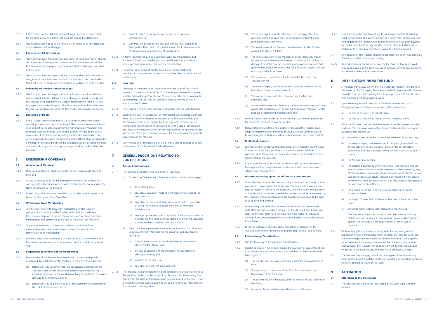- (a) The risk or exposure of the Member to a Damaging Event in its region compared with the risk or exposure of Members to Damaging Events generally;
- (b) The Asset Value of the Member, as determined by the Trustees pursuant to clause 7.1.1(a);
- (c) The likely availability to the Member of other monies by way of compensation, indemnity, replacement or subsidy for the loss or damage to its Infrastructure, including any payment from central government, from insurance claims, and any rights against persons not party to this Trust Deed;
- (d) The quantum of any Deductible for the Member which the Trustees may fix;
- (e) The state of repair, maintenance and condition generally of the Member's Infrastructure or parts of it;
- (f) The nature of any particular risks affecting the Member's Infrastructure;
- (g) Any refusal or persistent failure by the Member to comply with any reasonable directions given by the Administration Manager for the purpose of identifying and managing risk.
- 7.1.3 Members shall then be advised of the Annual Contribution payable by them, and the amount of any Deductible.
- 7.1.4 Notwithstanding anything hereinbefore contained the Trustees may adopt or determine such methods of setting Annual Contributions or Extraordinary Contributions as they in their absolute discretion think fit.

- 7.3.1 If the Member disputes the quantum of any Annual Contribution it shall give written notice to the Administration Manager within twenty-one days of receipt of advice of the quantum, following which the quantum of the Annual Contribution payable by the Member shall be reviewed by the Trustees, whose decision as to the appropriate quantum to be paid shall be final and binding.
- 7.3.2 Where the quantum of the Annual Contribution is not determined until after the date on which payment of the Annual Contribution was due, the Member shall have ten days following receipt of advice in writing of the determination of the dispute in which to pay the Annual Contribution.
- 7.3.3 Except as otherwise provided above the action or decision of the Trustees in fixing the Annual Contributions shall be final and binding.

### **7.2 Method of Payment**

- 7.2.1 Payment of the Annual Contributions shall be effected by the Members in accordance with any provisions of the Participation Deed for payment, or in the absence of any such provisions as from time to time determined by the Trustees.
- 7.2.2 Any unpaid Annual Contribution as determined by the Administration Manager shall be recoverable by the Fund as a debt with associated interest and recovery costs.

### **7.3 Disputes regarding Quantum of Annual Contributions**

### **7.4 Extraordinary Contributions**

- 7.4.1 The Trustees may fix Extraordinary Contributions.
- 7.4.2 Subject to clause 7.1.4 in determining the quantum of any Extraordinary Contribution as a condition of entry to membership the Trustees shall have regard to:
	- (a) The number of Fund Years completed since the Commencement Date;
	- (b) The net value of the assets of the Fund had there been no Distributions from the Fund;
	- (c) The current value of the assets, and the amount of any liabilities of the Fund;
	- (d) Any other factors which seem relevant to the Trustees.
- 7.4.3 In determining the quantum of any Extraordinary Contribution being fixed for Coverage of a part or portion of a Fund Year the Trustees shall have regard to the Annual Contribution that would have been payable by the Member for Coverage for the full Fund Year and, that part or portion of the Fund Year for which Coverage is being provided.
- 7.4.4 Any decision of the Trustees regarding the quantum of any Extraordinary Contribution shall be final and binding.
- 7.4.5 Any Extraordinary Contribution fixed by the Trustees that is not paid may be recovered in the same way as an Annual Contribution including associated interest and recovery costs.

5.8.1 If the Trustees are incorporated as a Board the Trustees shall obtain and adopt a common seal of the Board. The common seal of the Board shall be kept in the safe custody of the Administration Manager. The common seal shall only be used by the authority of the Board or of a committee of the Board authorised by the Board in that behalf, and every instrument to which the common seal is affixed shall be signed by a member of the Board and shall be countersigned by a second member of the Board or by some other person appointed by the Board for the purpose

### **8 DISTRIBUTIONS FROM THE FUND**

- 8.1 A Member may at any time within nine calendar months (time being of the essence) of a Damaging Event apply to the Trustees for a Distribution from the Fund in respect of any loss or damage caused to the Member's Infrastructure by that Damaging Event.
- 8.2 Upon receiving an application for a Distribution in respect of a Damaging Event, the Trustees shall satisfy themselves that:
	- (a) the loss or damage is to Infrastructure;
	- (b) the loss or damage was caused by the Damaging Event.
- 8.3 Once the Trustees have satisfied themselves as to the matters specified in clause 8.2, they may make a Distribution to the Member in respect of its application, subject to:
	- (a) any Asset Value or Stated Value of the Member's Infrastructure;
	- (b) the state of repair, maintenance and condition generally of the Infrastructure or of any particular parts of the Infrastructure before and after the Damaging Event for which the Distribution is claimed;
	- (c) the Member's Deductible;
	- (d) the expected availability when the Annual Contribution was set and the actual availability to the Member of other monies by way of compensation, indemnity, replacement or subsidy for the loss or damage to its Infrastructure, including any payment from central government, from insurance claims, and any rights against persons not party to this Trust Deed;
	- (e) the desirability of the Fund maintaining reserves for future Damaging Events;
	- (f) the length of time that the Member has been a Member of the Fund;
	- (g) any other factors which seem relevant to the Trustees.

The Trustees at their sole discretion will determine what if any Distribution will be made in any situation where in the Trustees' opinion the damage is a consequence of an act of war or terrorism.

- 8.4 Without being bound to see or being liable for not seeing to the application of any Distributions from the Fund, the Trustees shall take reasonable steps to ensure each Distribution from the Fund is applied by its Members for the reinstatement of their Infrastructure, and for that purpose, the Trustees may require from the Member reasonable evidences of the expenditure, and may make progress payments.
- 8.5 The Trustees may also pay the whole or any part of the Fund to any other charity that is charitable under New Zealand law and has purposes similar or related to those of the Fund.

### **9 ALTERATION**

### **9.1 Alteration of the Trust Deed**

9.1.1 The Trustees may amend this Trust Deed in any way, subject to this clause 9.

- 5.5.3 If the Trustees or the Administration Manager exercise a power that is for the time being delegated that shall not revoke the delegation.
- 5.5.4 The Trustees shall not be liable for any act or defaults of any delegatee of the Administration Manager.

### **5.6 Expenses of Administration**

- 5.6.1 The Administration Manager may pay from the Fund such costs, charges and expenses of management, administration and investment of the Fund as are properly payable by the Administration Manager on behalf of the Fund.
- 5.6.2 The Administration Manager shall be paid from the Fund such fees or charges for its administration of the Fund and the trusts contained in this Trust Deed, as shall from time to time be authorised by the Trustees.

### **5.7 Indemnity of Administration Manager**

5.7.1 The Administration Manager shall not be liable for any loss which is not attributable to the Administration Manager's own dishonesty and the Trustees shall indemnify and keep indemnified the Administration Manager from the Fund against all claims demands and liabilities from Members or persons not parties to this Trust Deed, howsoever arising.

### **5.8 Execution of Deeds**

### **6 MEMBERSHIP COVERAGE**

### **6.1 Admission of Members**

- 6.1.1 Only Local Authorities shall be eligible for admission as Members of the Fund.
- 6.1.2 A Local Authority shall not be admitted to membership without first entering into a Participation Deed with the Fund in the form and on the terms acceptable to the Trustees.
- 6.1.3 In executing a Participation Deed the Local Authority shall agree to be bound by the terms of this Trust Deed.

### **6.2 Withdrawal from Membership**

- 6.2.1 Any Member may withdraw from membership of the Fund by giving notice in writing to the Trustees of its desire to withdraw from membership, on or before the end of any Fund Year, and their membership shall terminate at the end of the Fund Year following.
- 6.2.2 Any notice in writing of a Member's desire to withdraw from membership may itself be withdrawn at any time prior to the termination of its membership.
- 6.2.3 Members who have given notice of their desire to withdraw from the Fund shall pay their Annual Contributions due for the following Fund Year.

### **6.3 Suspension or Termination of Membership**

- 6.3.1 Membership of the Fund may be terminated or membership rights suspended, by resolution of the Trustees, in the event that a Member:
	- (a) Refuses or fails to comply with the reasonable directions of the Trustees given for the purpose of minimizing or reducing the exposure, limiting the risks and diminishing the potential for loss or damage to its Infrastructure; or
	- (b) Refuses or fails to allow an audit of the Member's management of the risk to its Infrastructure; or
- (c) Omits to make or unduly delays payment of its Annual Contribution; or
- (d) Commits any breach of the provisions of this Trust Deed or its Participation Deed which in the opinion of the Trustees warrants the termination or suspension of membership.
- 6.3.2 A former Member may if so desiring re-apply for membership, but if successful shall not thereby gain any benefit credit or entitlement accruing consequent upon their former membership.
- 6.3.3 The action or decision of the Trustees in any matter relating to membership or suspension or termination of membership shall be final and binding.

### **6.4 Coverage**

- 6.4.1 Coverage of Members shall commence from the later of the date of payment of the initial Annual Contribution (or part thereof if so agreed) and the Extraordinary Contribution (if any, or part thereof if so agreed) as required by the Trustees or such other date as may be agreed in writing by the Trustees.
- 6.4.2 There shall be no Coverage of Local Authorities that are not Members.
- 6.4.3 Upon termination or suspension of membership all Coverage shall cease from the date of termination or suspension as the case may be, and the Member shall not be eligible for Coverage until re-admission to membership (in the case of termination) or (in the case of suspension) the lifting of the suspension by further resolution of the Trustees, or the satisfaction of any pre-condition imposed for the automatic lifting of the suspension of the Member.
- 6.4.4 On termination of membership all claim, right, title or interest or benefit in the assets of the Fund shall forthwith cease.

### **7 GENERAL PROVISIONS RELATING TO CONTRIBUTIONS**

### **7.1 Annual Contributions**

- 7.1.1 The Trustees shall before the end of each Fund Year:
	- (a) Fix the Asset Value of each Member's Infrastructure, having regard to:
		- (i) their Stated Value;
		- (ii) any actual valuation made of a Member's Infrastructure, or any parts of it;
		- (iii) any other measure (including valuations) which may enable or assist the Trustees to assess the value of Members' Infrastructure;
		- (iv) any appropriate method or principles of valuation whether or not they are the same as those applied in any other valuation of the Members' Infrastructure or parts of it.
	- (b) Determine the approximate amount of total Annual Contributions to be sought from Members for the ensuing Fund Year having regard to:
		- (i) the combined Asset Values of Members as determined in clause 7.1.1(a) above; and
		- (ii) the risk or exposure of the Members' Infrastructure to Damaging Events; and
		- (iii) possible Deductibles; and
		- (iv) any other factors that seem relevant:
- 7.1.2 The Trustees shall after determining the approximate amount of the total Annual Contributions to be sought from Members for the ensuing Fund Year fix the Annual Contributions to be paid by individual Members, and in fixing the Annual Contributions to be paid by individual Members the Trustees shall have regard to: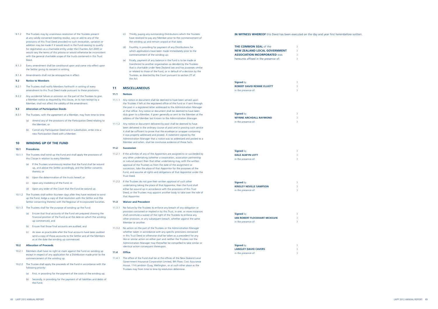| <b>THE COMMON SEAL of the</b><br><b>NEW ZEALAND LOCAL GOVERNMENT</b><br><b>ASSOCIATION INCORPORATED Was</b><br>hereunto affixed in the presence of: | )<br>$\big)$<br>)<br>) |
|-----------------------------------------------------------------------------------------------------------------------------------------------------|------------------------|
| <b>Signed by</b><br><b>ROBERT DAVID RENNIE ELLIOTT</b><br>in the presence of:                                                                       | )<br>)                 |
| <b>Signed by</b><br><b>WYNNE ARCHDALL RAYMOND</b><br>in the presence of:                                                                            | $\mathcal{Y}$<br>)     |
| <b>Signed by</b><br><b>DALE ALWYN LOTT</b><br>in the presence of:                                                                                   | )<br>)                 |
| <b>Signed by</b><br><b>KINSLEY NEVILLE SAMPSON</b><br>in the presence of:                                                                           | )<br>)                 |
| <b>Signed by</b><br><b>IAN ROBERT FLOCKHART MCKELVIE</b><br>in the presence of:                                                                     | )<br>⟩<br>)            |
| <b>Signed by</b><br><b>LANGLEY DAVID CAVERS</b><br>in the presence of:                                                                              | )                      |

- 9.3.1 The Trustees, with the agreement of a Member, may from time to time:
	- (a) Amend any of the provisions of the Participation Deed relating to the Member; or
	- (b) Cancel any Participation Deed and in substitution, enter into a new Participation Deed with a Member.

### **10 WI NDING UP OF THE FUND**

- 9.1.3 Every amendment shall be conditional upon and come into effect upon the Settlor giving its consent in writing.
- 9.1.4 Amendments shall not be retrospective in effect.

### **9.2 Notice to Members**

- 9.2.1 The Trustees shall notify Members forthwith in writing of every amendment to this Trust Deed made pursuant to these provisions.
- 9.2.2 Any accidental failure or omission on the part of the Trustees to give a Member notice as required by this clause, or its non-receipt by a Member, shall not affect the validity of the amendment.

### **9.3 Alteration of Participation Deeds**

### **10.1 Procedures**

- 10.1.1 The Trustees shall wind up the Fund and shall apply the provisions of this Clause in relation to every Member:
	- (a) If the Trustees unanimously resolve that the Fund shall be wound up, and advise the Settlor accordingly, and the Settlor consents thereto; or
	- (b) Upon the determination of the trusts hereof; or
	- (c) Upon any insolvency of the Fund; or
	- (d) Upon any order of the Court that the Fund be wound up.
- 10.1.2 The Trustees shall within fourteen days after they have resolved to wind up the Fund, lodge a copy of that resolution with the Settlor and (the Settlor consenting thereto) with the Registrar of Incorporated Societies.
- 10.1.3 The Trustees shall for the purpose of winding up the Fund:
	- (a) Ensure that final accounts of the Fund are prepared showing the financial position of the Fund as at the date on which the winding up commenced; and
	- (b) Ensure that those final accounts are audited; and
	- (c) As soon as practicable after the final accounts have been audited send a copy of those accounts to the Settlor and all the Members as at the date the winding up commenced.
- **10.2 Allocation of Proceeds**
- 10.2.1 Members shall have no right or claim against the Fund on winding up except in respect of any application for a Distribution made prior to the commencement of the winding up.
- 10.2.2 The Trustee shall apply the proceeds of the Fund in accordance with the following priority:
	- (a) First, in providing for the payment of the costs of the winding up;
	- (b) Secondly, in providing for the payment of all liabilities and debts of the Fund;
- 11.2.1 If the activities of any of the Appointors are assigned to or succeeded by any other undertaking (whether a corporation, association partnership or natural person) then that other undertaking may, with the written approval of the Trustees as from the date of the assignment or succession, take the place of that Appointor for the purposes of the Fund, and assume all rights and obligations of that Appointor under the Trust Deed.
- 11.2.2 If the Trustees do not give their written approval of such other undertaking taking the place of that Appointor, then the Fund shall either be wound up in accordance with the provisions of this Trust Deed, or the Trustees may appoint another body to take over the role of that Appointor.
- (c) Thirdly, paying any outstanding Distributions which the Trustees have resolved to pay any Member prior to the commencement of the winding up and remain unpaid at that date;
- (d) Fourthly, in providing for payment of any Distributions for which applications have been made immediately prior to the commencement of the winding up;
- (e) Finally, payment of any balance in the Fund is to be made or transferred to another organisation as decided by the Trustees that is charitable under New Zealand law and has purposes similar or related to those of the Fund, or in default of a decision by the Trustees, as directed by the Court pursuant to section 27 of the Act.

### **11 M ISCELLANEOUS**

### **11.1 Notices**

- 11.1.1 Any notice or document shall be deemed to have been served upon the Trustees if left at the registered office of the Fund or if sent through the post in a registered letter addressed to the Administration Manager at that office. Any notice or document shall be deemed to have been duly given to a Member, if given generally or sent to the Member at the address of the Member last known to the Administration Manager.
- 11.1.2 Any notice or document delivered by post shall be deemed to have been delivered in the ordinary course of post and in proving such service it shall be sufficient to prove that the envelope or wrapper containing it was properly addressed and posted. A statement signed by the Administration Manager that a notice was so addressed and posted to a Member and when, shall be conclusive evidence of those facts.

### **11.2 Succession**

### **11.3 Waiver and Precedent**

- 11.3.1 No failure by the Trustees to enforce any breach of any obligation or provision contained or implied in by this Trust, in one, or more instances shall constitute a waiver of the right of the Trustees to enforce any other provision, or any subsequent breach, whether against the same Member or another.
- 11.3.2 No action on the part of the Trustees or the Administration Manager whether taken in accordance with any specific provisions contained in this Trust Deed or otherwise shall be taken as a precedent for any like or similar action on either part and neither the Trustees nor the Administration Manager may thereafter be compelled to take similar or identical action consequent thereupon.

**11.4 Office** 

11.4.1 The office of the Fund shall be at the offices of the New Zealand Local Government Insurance Corporation Limited, 9th Floor, Civic Assurance House, 114 Lambton Quay, Wellington, or at such other place as the Trustees may from time to time by resolution determine.

### **IN WITNESS WHEREOF** this Deed has been executed on the day and year first hereinbefore written.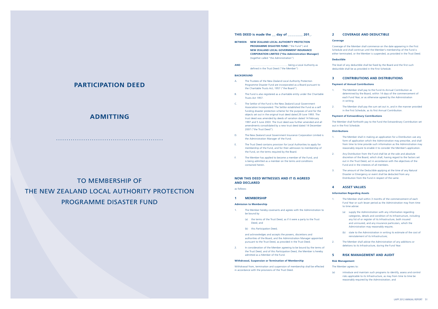|                   | THIS DEED is made the day of 201.                                                                                                                                                                                                                |  |  |  |
|-------------------|--------------------------------------------------------------------------------------------------------------------------------------------------------------------------------------------------------------------------------------------------|--|--|--|
| <b>BETWEEN</b>    | <b>NEW ZEALAND LOCAL AUTHORITY PROTECTION</b><br><b>PROGRAMME DISASTER FUND</b> ("the Fund") and<br>NEW ZEALAND LOCAL GOVERNMENT INSURANCE<br><b>CORPORATION LIMITED ("the Administration Manager)</b><br>(together called "the Administration") |  |  |  |
| <b>AND</b>        | defined in the Trust Deed ("the Member")                                                                                                                                                                                                         |  |  |  |
| <b>BACKGROUND</b> |                                                                                                                                                                                                                                                  |  |  |  |

- The Member hereby covenants and agrees with the Administration to be bound by
	- (a) the terms of the Trust Deed, as if it were a party to the Trust Deed; and
	- (b) this Participation Deed;
- A. The Trustees of the New Zealand Local Authority Protection Programme Disaster Fund are incorporated as a Board pursuant to the Charitable Trusts Act, 1957 ("the Board").
- The Fund is also registered as a charitable entity under the Charitable Trusts Act 1957.
- C. The Settlor of the Fund is the New Zealand Local Government Association Incorporated. The Settlor established the Fund as a self funding disaster protection scheme for the purposes of and for the objects set out in the original trust deed dated 29 June 1993. The trust deed was amended by deeds of variation dated 14 February 1997 and 5 June 2003. The trust deed was further amended and all amendments consolidated by a new trust deed dated 14 December 2007 ("the Trust Deed").
- D. The New Zealand Local Government Insurance Corporation Limited is the Administration Manager of the Fund.
- E. The Trust Deed contains provision for Local Authorities to apply for membership of the Fund, and for their admission to membership of the Fund, on the terms required by the Board.
- The Member has applied to become a member of the Fund, and is being admitted as a member on the terms and conditions contained herein.

### **NOW THIS DEED WITNESSES AND IT IS AGREED AND DECLARED**

as follows:

### **1 MEMBERSHIP**

### **Admission to Membership**

and acknowledges and accepts the powers, discretions and authorities of the Board, and the Administration Manager appointed pursuant to the Trust Deed, as provided in the Trust Deed.

- The Member shall in making an application for a Distribution use any form of application which the Administration may prescribe, and shall from time to time provide such information as the Administration may reasonably require to enable it to consider the Member's application.
- 2. Any Distribution from the Fund shall be at the sole and absolute discretion of the Board, which shall, having regard to the factors set out in the Trust Deed, act in accordance with the objectives of the Fund and in the interests of all members.
- 3. The amount of the Deductible applying at the time of any Natural Disaster or Emergency or event shall be deducted from any Distribution from the Fund in respect of the same.

2. In consideration of the Member agreeing to be bound by the terms of the Trust Deed, and of this Participation Deed, the Member is hereby admitted as a Member of the Fund.

### **Withdrawal, Suspension or Termination of Membership**

Withdrawal from, termination and suspension of membership shall be effected in accordance with the provisions of the Trust Deed.

- The Member shall within 3 months of the commencement of each Fund Year or such lesser period as the Administration may from time to time advise:
	- (a) supply the Administration with any information regarding categories, details and condition of its Infrastructure, including any list of or register of its Infrastructure, both insured and uninsured, and any insurance particulars, which the Administration may reasonably require;
	- (b) state to the Administration in writing its estimate of the cost of reinstatement of its Infrastructure;
- 2. The Member shall advise the Administration of any additions or deletions to its Infrastructure, during the Fund Year.

### **2 COVERAGE AND DEDUCTIBLE**

### **Coverage**

Coverage of the Member shall commence on the date appearing in the First Schedule and shall continue until the Member's membership of the Fund is either terminated, or the Member is suspended, as provided in the Trust Deed.

# TO MEMBERSHIP OF The New Zealand Local Authority Protection Programme Disaster Fund

### **Deductible**

The level of any deductible shall be fixed by the Board and the first such deductible shall be as provided in the First Schedule.

### **3 CONTRIBUTIONS AND DISTRIBUTIONS**

### **Payment of Annual Contributions**

- 1. The Member shall pay to the Fund its Annual Contribution as determined by the Board, within 14 days of the commencement of each Fund Year, or as otherwise agreed by the Administration in writing.
- 2. The Member shall pay the sum set out in, and in the manner provided in the First Schedule, as its first Annual Contribution.

### **Payment of Extraordinary Contributions**

The Member shall forthwith pay to the Fund the Extraordinary Contribution set out in the First Schedule.

### **Distributions**

### **4 ASSET VALUES**

### **Information Regarding Assets**

### **5 RISK MANAGEMENT AND AUDIT**

### **Risk Management**

### The Member agrees to:

(a) introduce and maintain such programs to identify, assess and control risks applicable to its Infrastructure, as may from time to time be reasonably required by the Administration; and

# **PARTICIPATION DEED**

# **ADMITTING**

...................................................